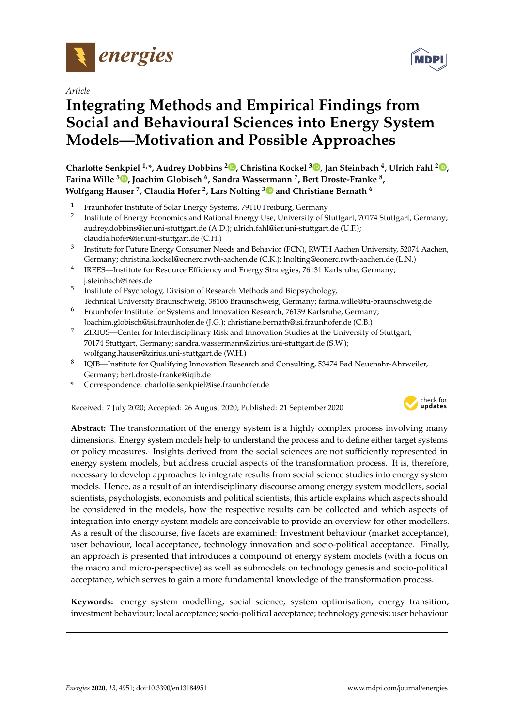

*Article*

# **Integrating Methods and Empirical Findings from Social and Behavioural Sciences into Energy System Models—Motivation and Possible Approaches**

**Charlotte Senkpiel 1,\*, Audrey Dobbins <sup>2</sup> [,](https://orcid.org/0000-0001-9382-4479) Christina Kockel <sup>3</sup> [,](https://orcid.org/0000-0003-0335-7593) Jan Steinbach <sup>4</sup> , Ulrich Fahl [2](https://orcid.org/0000-0002-8629-4083) , Farina Wille <sup>5</sup> [,](https://orcid.org/0000-0003-0299-2384) Joachim Globisch <sup>6</sup> , Sandra Wassermann <sup>7</sup> , Bert Droste-Franke <sup>8</sup> , Wolfgang Hauser <sup>7</sup> , Claudia Hofer <sup>2</sup> , Lars Nolting [3](https://orcid.org/0000-0001-8800-5807) and Christiane Bernath <sup>6</sup>**

- <sup>1</sup> Fraunhofer Institute of Solar Energy Systems, 79110 Freiburg, Germany
- 2 Institute of Energy Economics and Rational Energy Use, University of Stuttgart, 70174 Stuttgart, Germany; audrey.dobbins@ier.uni-stuttgart.de (A.D.); ulrich.fahl@ier.uni-stuttgart.de (U.F.); claudia.hofer@ier.uni-stuttgart.de (C.H.)
- 3 Institute for Future Energy Consumer Needs and Behavior (FCN), RWTH Aachen University, 52074 Aachen, Germany; christina.kockel@eonerc.rwth-aachen.de (C.K.); lnolting@eonerc.rwth-aachen.de (L.N.)
- 4 IREES—Institute for Resource Efficiency and Energy Strategies, 76131 Karlsruhe, Germany; j.steinbach@irees.de
- 5 Institute of Psychology, Division of Research Methods and Biopsychology, Technical University Braunschweig, 38106 Braunschweig, Germany; farina.wille@tu-braunschweig.de
- <sup>6</sup> Fraunhofer Institute for Systems and Innovation Research, 76139 Karlsruhe, Germany; Joachim.globisch@isi.fraunhofer.de (J.G.); christiane.bernath@isi.fraunhofer.de (C.B.)
- <sup>7</sup> ZIRIUS—Center for Interdisciplinary Risk and Innovation Studies at the University of Stuttgart, 70174 Stuttgart, Germany; sandra.wassermann@zirius.uni-stuttgart.de (S.W.); wolfgang.hauser@zirius.uni-stuttgart.de (W.H.)
- $8$  IQIB—Institute for Qualifying Innovation Research and Consulting, 53474 Bad Neuenahr-Ahrweiler, Germany; bert.droste-franke@iqib.de
- **\*** Correspondence: charlotte.senkpiel@ise.fraunhofer.de

Received: 7 July 2020; Accepted: 26 August 2020; Published: 21 September 2020



**Abstract:** The transformation of the energy system is a highly complex process involving many dimensions. Energy system models help to understand the process and to define either target systems or policy measures. Insights derived from the social sciences are not sufficiently represented in energy system models, but address crucial aspects of the transformation process. It is, therefore, necessary to develop approaches to integrate results from social science studies into energy system models. Hence, as a result of an interdisciplinary discourse among energy system modellers, social scientists, psychologists, economists and political scientists, this article explains which aspects should be considered in the models, how the respective results can be collected and which aspects of integration into energy system models are conceivable to provide an overview for other modellers. As a result of the discourse, five facets are examined: Investment behaviour (market acceptance), user behaviour, local acceptance, technology innovation and socio-political acceptance. Finally, an approach is presented that introduces a compound of energy system models (with a focus on the macro and micro-perspective) as well as submodels on technology genesis and socio-political acceptance, which serves to gain a more fundamental knowledge of the transformation process.

**Keywords:** energy system modelling; social science; system optimisation; energy transition; investment behaviour; local acceptance; socio-political acceptance; technology genesis; user behaviour

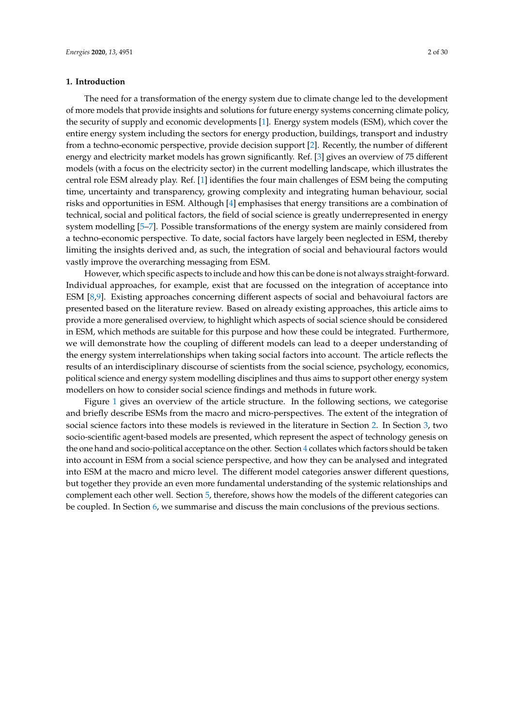#### **1. Introduction**

The need for a transformation of the energy system due to climate change led to the development of more models that provide insights and solutions for future energy systems concerning climate policy, the security of supply and economic developments [\[1\]](#page-21-0). Energy system models (ESM), which cover the entire energy system including the sectors for energy production, buildings, transport and industry from a techno-economic perspective, provide decision support [\[2\]](#page-21-1). Recently, the number of different energy and electricity market models has grown significantly. Ref. [\[3\]](#page-21-2) gives an overview of 75 different models (with a focus on the electricity sector) in the current modelling landscape, which illustrates the central role ESM already play. Ref. [\[1\]](#page-21-0) identifies the four main challenges of ESM being the computing time, uncertainty and transparency, growing complexity and integrating human behaviour, social risks and opportunities in ESM. Although [\[4\]](#page-22-0) emphasises that energy transitions are a combination of technical, social and political factors, the field of social science is greatly underrepresented in energy system modelling [\[5](#page-22-1)[–7\]](#page-22-2). Possible transformations of the energy system are mainly considered from a techno-economic perspective. To date, social factors have largely been neglected in ESM, thereby limiting the insights derived and, as such, the integration of social and behavioural factors would vastly improve the overarching messaging from ESM.

However, which specific aspects to include and how this can be done is not always straight-forward. Individual approaches, for example, exist that are focussed on the integration of acceptance into ESM [\[8](#page-22-3)[,9\]](#page-22-4). Existing approaches concerning different aspects of social and behavoiural factors are presented based on the literature review. Based on already existing approaches, this article aims to provide a more generalised overview, to highlight which aspects of social science should be considered in ESM, which methods are suitable for this purpose and how these could be integrated. Furthermore, we will demonstrate how the coupling of different models can lead to a deeper understanding of the energy system interrelationships when taking social factors into account. The article reflects the results of an interdisciplinary discourse of scientists from the social science, psychology, economics, political science and energy system modelling disciplines and thus aims to support other energy system modellers on how to consider social science findings and methods in future work.

Figure [1](#page-2-0) gives an overview of the article structure. In the following sections, we categorise and briefly describe ESMs from the macro and micro-perspectives. The extent of the integration of social science factors into these models is reviewed in the literature in Section [2.](#page-2-1) In Section [3,](#page-7-0) two socio-scientific agent-based models are presented, which represent the aspect of technology genesis on the one hand and socio-political acceptance on the other. Section [4](#page-8-0) collates which factors should be taken into account in ESM from a social science perspective, and how they can be analysed and integrated into ESM at the macro and micro level. The different model categories answer different questions, but together they provide an even more fundamental understanding of the systemic relationships and complement each other well. Section [5,](#page-19-0) therefore, shows how the models of the different categories can be coupled. In Section [6,](#page-20-0) we summarise and discuss the main conclusions of the previous sections.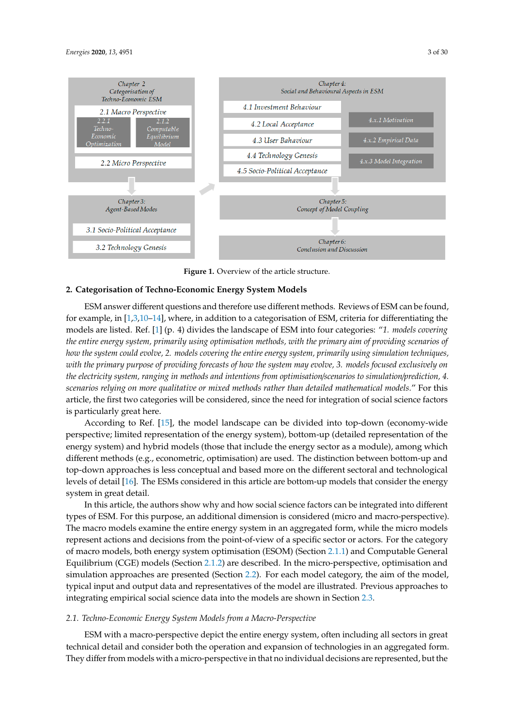<span id="page-2-0"></span>

**Figure 1.** Overview of the article structure. **Figure 1.** Overview of the article structure.

# <span id="page-2-1"></span>**2. Categorisation of Techno-Economic Energy System Models 2. Categorisation of Techno-Economic Energy System Models**

for example, in  $[1,3,10-14]$  $[1,3,10-14]$  $[1,3,10-14]$  $[1,3,10-14]$ , where, in addition to a categorisation of ESM, criteria for differentiating the models are listed. Ref. [\[1\]](#page-21-0) (p. 4) divides the landscape of ESM into four categories: "*1. models covering* the entire energy system, primarily using optimisation methods, with the primary aim of providing scenarios of how the system could evolve, 2. models covering the entire energy system, primarily using simulation techniques, with the primary purpose of providing forecasts of how the system may evolve, 3. models focused exclusively on the electricity system, ranging in methods and intentions from optimisation/scenarios to simulation/prediction, 4. *models focused exclusively on the electricity system, ranging in methods and intentions from scenarios relying on more qualitative or mixed methods rather than detailed mathematical models.*" For this *optimization functions at according will be considered, since the need for integration of social science factors* article, the first two categories will be considered, since the need for integration of social science factors<br>is particularly creat here ESM answer different questions and therefore use different methods. Reviews of ESM can be found, is particularly great here.

According to Ref. [\[15\]](#page-22-7), the model landscape can be divided into top-down (economy-wide perspective; limited representation of the energy system), bottom-up (detailed representation of the energy system) and hybrid models (those that include the energy sector as a module), among which different methods (e.g., econometric, optimisation) are used. The distinction between bottom-up and top-down approaches is less conceptual and based more on the different sectoral and technological  $t_{\rm{ref}}$  and  $\tau_{\rm{ref}}$  approximately more on the different sectoral and technological and technological and technological and technological and technological and technological and technological and technological and tec levels of detail [16]. The ESMs considered in this article are bottom-up models that consider the levels of detail [\[16\]](#page-22-8). The ESMs considered in this article are bottom-up models that consider the energy system in great detail.

In this article, the authors show why and how social science factors can be integrated into different types of ESM. For this purpose, an additional dimension is considered (micro and macro-perspective). The macro models examine the entire energy system in an aggregated form, while the micro models  $\frac{1}{2}$ represent actions and decisions from the point-of-view of a specific sector or actors. For the category of macro models, both energy system optimisation (ESOM) (Section [2.1.1\)](#page-3-0) and Computable General Equilibrium (CGE) models (Section [2.1.2\)](#page-3-1) are described. In the micro-perspective, optimisation and  $\frac{1}{2}$  simulation approaches are presented (Section [2.2\)](#page-4-0). For each model category, the aim of the model, typical input and output data and representatives of the model are illustrated. Previous approaches to  $\frac{1}{2}$  model category, the aim of the model, typical input and  $\frac{1}{2}$  and  $\frac{1}{2}$  and  $\frac{1}{2}$  and  $\frac{1}{2}$  and  $\frac{1}{2}$  and  $\frac{1}{2}$  and  $\frac{1}{2}$  and  $\frac{1}{2}$  and  $\frac{1}{2}$  and  $\frac{1}{2}$  and  $\frac{1}{2}$  and integrating empirical social science data into the models are shown in Section [2.3.](#page-4-1)

# 2.1. Techno-Economic Energy System Models from a Macro-Perspective

ESM with a macro-perspective depict the entire energy system, often including all sectors in great technical detail and consider both the operation and expansion of technologies in an aggregated form. They differ from models with a micro-perspective in that no individual decisions are represented, but the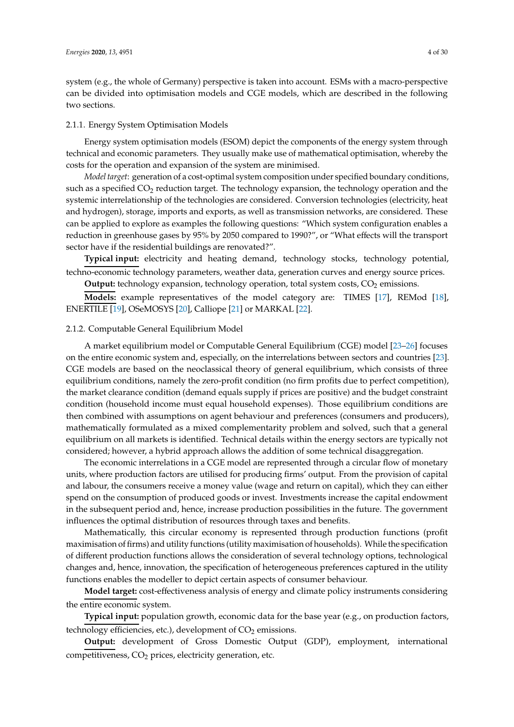system (e.g., the whole of Germany) perspective is taken into account. ESMs with a macro-perspective can be divided into optimisation models and CGE models, which are described in the following two sections.

#### <span id="page-3-0"></span>2.1.1. Energy System Optimisation Models

Energy system optimisation models (ESOM) depict the components of the energy system through technical and economic parameters. They usually make use of mathematical optimisation, whereby the costs for the operation and expansion of the system are minimised.

*Model target*: generation of a cost-optimal system composition under specified boundary conditions, such as a specified  $CO<sub>2</sub>$  reduction target. The technology expansion, the technology operation and the systemic interrelationship of the technologies are considered. Conversion technologies (electricity, heat and hydrogen), storage, imports and exports, as well as transmission networks, are considered. These can be applied to explore as examples the following questions: "Which system configuration enables a reduction in greenhouse gases by 95% by 2050 compared to 1990?", or "What effects will the transport sector have if the residential buildings are renovated?".

**Typical input:** electricity and heating demand, technology stocks, technology potential, techno-economic technology parameters, weather data, generation curves and energy source prices.

**Output:** technology expansion, technology operation, total system costs, CO<sub>2</sub> emissions.

**Models:** example representatives of the model category are: TIMES [\[17\]](#page-22-9), REMod [\[18\]](#page-22-10), ENERTILE [\[19\]](#page-22-11), OSeMOSYS [\[20\]](#page-22-12), Calliope [\[21\]](#page-22-13) or MARKAL [\[22\]](#page-22-14).

#### <span id="page-3-1"></span>2.1.2. Computable General Equilibrium Model

A market equilibrium model or Computable General Equilibrium (CGE) model [\[23](#page-22-15)[–26\]](#page-23-0) focuses on the entire economic system and, especially, on the interrelations between sectors and countries [\[23\]](#page-22-15). CGE models are based on the neoclassical theory of general equilibrium, which consists of three equilibrium conditions, namely the zero-profit condition (no firm profits due to perfect competition), the market clearance condition (demand equals supply if prices are positive) and the budget constraint condition (household income must equal household expenses). Those equilibrium conditions are then combined with assumptions on agent behaviour and preferences (consumers and producers), mathematically formulated as a mixed complementarity problem and solved, such that a general equilibrium on all markets is identified. Technical details within the energy sectors are typically not considered; however, a hybrid approach allows the addition of some technical disaggregation.

The economic interrelations in a CGE model are represented through a circular flow of monetary units, where production factors are utilised for producing firms' output. From the provision of capital and labour, the consumers receive a money value (wage and return on capital), which they can either spend on the consumption of produced goods or invest. Investments increase the capital endowment in the subsequent period and, hence, increase production possibilities in the future. The government influences the optimal distribution of resources through taxes and benefits.

Mathematically, this circular economy is represented through production functions (profit maximisation of firms) and utility functions (utility maximisation of households). While the specification of different production functions allows the consideration of several technology options, technological changes and, hence, innovation, the specification of heterogeneous preferences captured in the utility functions enables the modeller to depict certain aspects of consumer behaviour.

**Model target:** cost-effectiveness analysis of energy and climate policy instruments considering the entire economic system.

**Typical input:** population growth, economic data for the base year (e.g., on production factors, technology efficiencies, etc.), development of  $CO<sub>2</sub>$  emissions.

**Output:** development of Gross Domestic Output (GDP), employment, international competitiveness, CO<sub>2</sub> prices, electricity generation, etc.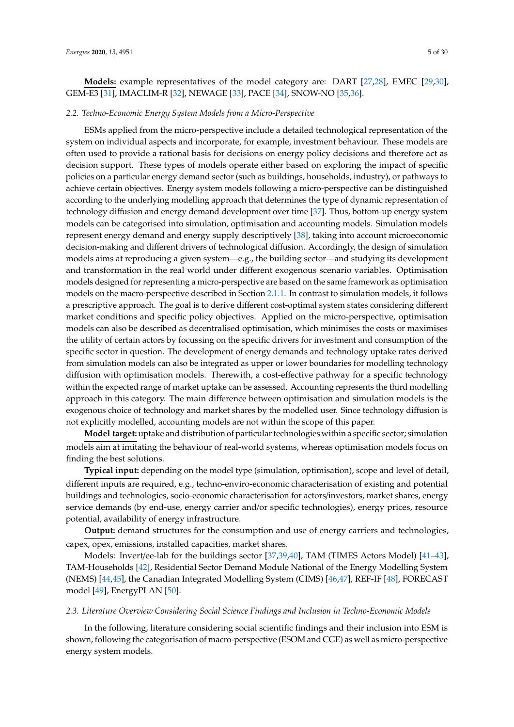**Models:** example representatives of the model category are: DART [\[27](#page-23-1)[,28\]](#page-23-2), EMEC [\[29,](#page-23-3)[30\]](#page-23-4), GEM-E3 [\[31\]](#page-23-5), IMACLIM-R [\[32\]](#page-23-6), NEWAGE [\[33\]](#page-23-7), PACE [\[34\]](#page-23-8), SNOW-NO [\[35,](#page-23-9)[36\]](#page-23-10).

#### <span id="page-4-0"></span>*2.2. Techno-Economic Energy System Models from a Micro-Perspective*

ESMs applied from the micro-perspective include a detailed technological representation of the system on individual aspects and incorporate, for example, investment behaviour. These models are often used to provide a rational basis for decisions on energy policy decisions and therefore act as decision support. These types of models operate either based on exploring the impact of specific policies on a particular energy demand sector (such as buildings, households, industry), or pathways to achieve certain objectives. Energy system models following a micro-perspective can be distinguished according to the underlying modelling approach that determines the type of dynamic representation of technology diffusion and energy demand development over time [\[37\]](#page-23-11). Thus, bottom-up energy system models can be categorised into simulation, optimisation and accounting models. Simulation models represent energy demand and energy supply descriptively [\[38\]](#page-23-12), taking into account microeconomic decision-making and different drivers of technological diffusion. Accordingly, the design of simulation models aims at reproducing a given system—e.g., the building sector—and studying its development and transformation in the real world under different exogenous scenario variables. Optimisation models designed for representing a micro-perspective are based on the same framework as optimisation models on the macro-perspective described in Section [2.1.1.](#page-3-0) In contrast to simulation models, it follows a prescriptive approach. The goal is to derive different cost-optimal system states considering different market conditions and specific policy objectives. Applied on the micro-perspective, optimisation models can also be described as decentralised optimisation, which minimises the costs or maximises the utility of certain actors by focussing on the specific drivers for investment and consumption of the specific sector in question. The development of energy demands and technology uptake rates derived from simulation models can also be integrated as upper or lower boundaries for modelling technology diffusion with optimisation models. Therewith, a cost-effective pathway for a specific technology within the expected range of market uptake can be assessed. Accounting represents the third modelling approach in this category. The main difference between optimisation and simulation models is the exogenous choice of technology and market shares by the modelled user. Since technology diffusion is not explicitly modelled, accounting models are not within the scope of this paper.

**Model target:** uptake and distribution of particular technologies within a specific sector; simulation models aim at imitating the behaviour of real-world systems, whereas optimisation models focus on finding the best solutions.

**Typical input:** depending on the model type (simulation, optimisation), scope and level of detail, different inputs are required, e.g., techno-enviro-economic characterisation of existing and potential buildings and technologies, socio-economic characterisation for actors/investors, market shares, energy service demands (by end-use, energy carrier and/or specific technologies), energy prices, resource potential, availability of energy infrastructure.

**Output:** demand structures for the consumption and use of energy carriers and technologies, capex, opex, emissions, installed capacities, market shares.

Models: Invert/ee-lab for the buildings sector [\[37,](#page-23-11)[39,](#page-23-13)[40\]](#page-23-14), TAM (TIMES Actors Model) [\[41](#page-23-15)[–43\]](#page-23-16), TAM-Households [\[42\]](#page-23-17), Residential Sector Demand Module National of the Energy Modelling System (NEMS) [\[44,](#page-23-18)[45\]](#page-23-19), the Canadian Integrated Modelling System (CIMS) [\[46,](#page-23-20)[47\]](#page-23-21), REF-IF [\[48\]](#page-24-0), FORECAST model [\[49\]](#page-24-1), EnergyPLAN [\[50\]](#page-24-2).

#### <span id="page-4-1"></span>*2.3. Literature Overview Considering Social Science Findings and Inclusion in Techno-Economic Models*

In the following, literature considering social scientific findings and their inclusion into ESM is shown, following the categorisation of macro-perspective (ESOM and CGE) as well as micro-perspective energy system models.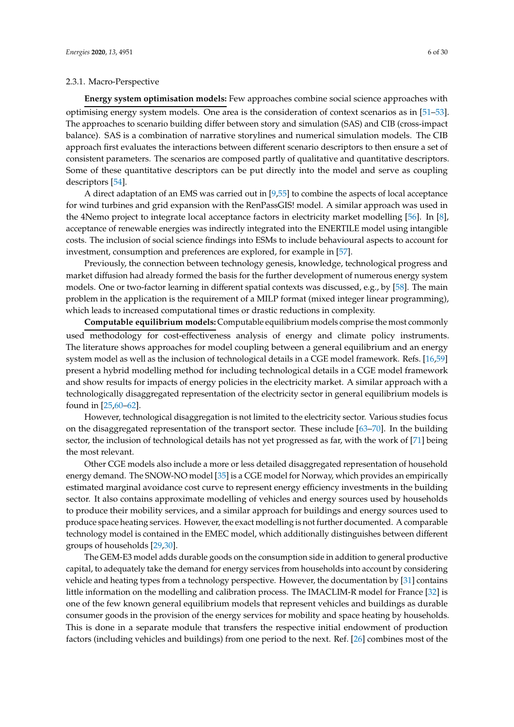#### 2.3.1. Macro-Perspective

**Energy system optimisation models:** Few approaches combine social science approaches with optimising energy system models. One area is the consideration of context scenarios as in [\[51–](#page-24-3)[53\]](#page-24-4). The approaches to scenario building differ between story and simulation (SAS) and CIB (cross-impact balance). SAS is a combination of narrative storylines and numerical simulation models. The CIB approach first evaluates the interactions between different scenario descriptors to then ensure a set of consistent parameters. The scenarios are composed partly of qualitative and quantitative descriptors. Some of these quantitative descriptors can be put directly into the model and serve as coupling descriptors [\[54\]](#page-24-5).

A direct adaptation of an EMS was carried out in [\[9](#page-22-4)[,55\]](#page-24-6) to combine the aspects of local acceptance for wind turbines and grid expansion with the RenPassGIS! model. A similar approach was used in the 4Nemo project to integrate local acceptance factors in electricity market modelling [\[56\]](#page-24-7). In [\[8\]](#page-22-3), acceptance of renewable energies was indirectly integrated into the ENERTILE model using intangible costs. The inclusion of social science findings into ESMs to include behavioural aspects to account for investment, consumption and preferences are explored, for example in [\[57\]](#page-24-8).

Previously, the connection between technology genesis, knowledge, technological progress and market diffusion had already formed the basis for the further development of numerous energy system models. One or two-factor learning in different spatial contexts was discussed, e.g., by [\[58\]](#page-24-9). The main problem in the application is the requirement of a MILP format (mixed integer linear programming), which leads to increased computational times or drastic reductions in complexity.

**Computable equilibrium models:** Computable equilibrium models comprise the most commonly used methodology for cost-effectiveness analysis of energy and climate policy instruments. The literature shows approaches for model coupling between a general equilibrium and an energy system model as well as the inclusion of technological details in a CGE model framework. Refs. [\[16,](#page-22-8)[59\]](#page-24-10) present a hybrid modelling method for including technological details in a CGE model framework and show results for impacts of energy policies in the electricity market. A similar approach with a technologically disaggregated representation of the electricity sector in general equilibrium models is found in [\[25,](#page-22-16)[60–](#page-24-11)[62\]](#page-24-12).

However, technological disaggregation is not limited to the electricity sector. Various studies focus on the disaggregated representation of the transport sector. These include [\[63](#page-24-13)[–70\]](#page-25-0). In the building sector, the inclusion of technological details has not yet progressed as far, with the work of [\[71\]](#page-25-1) being the most relevant.

Other CGE models also include a more or less detailed disaggregated representation of household energy demand. The SNOW-NO model [\[35\]](#page-23-9) is a CGE model for Norway, which provides an empirically estimated marginal avoidance cost curve to represent energy efficiency investments in the building sector. It also contains approximate modelling of vehicles and energy sources used by households to produce their mobility services, and a similar approach for buildings and energy sources used to produce space heating services. However, the exact modelling is not further documented. A comparable technology model is contained in the EMEC model, which additionally distinguishes between different groups of households [\[29,](#page-23-3)[30\]](#page-23-4).

The GEM-E3 model adds durable goods on the consumption side in addition to general productive capital, to adequately take the demand for energy services from households into account by considering vehicle and heating types from a technology perspective. However, the documentation by [\[31\]](#page-23-5) contains little information on the modelling and calibration process. The IMACLIM-R model for France [\[32\]](#page-23-6) is one of the few known general equilibrium models that represent vehicles and buildings as durable consumer goods in the provision of the energy services for mobility and space heating by households. This is done in a separate module that transfers the respective initial endowment of production factors (including vehicles and buildings) from one period to the next. Ref. [\[26\]](#page-23-0) combines most of the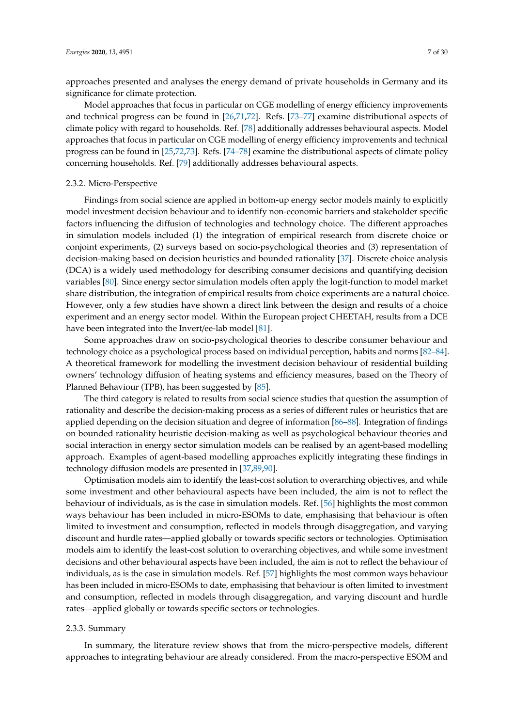approaches presented and analyses the energy demand of private households in Germany and its significance for climate protection.

Model approaches that focus in particular on CGE modelling of energy efficiency improvements and technical progress can be found in [\[26](#page-23-0)[,71](#page-25-1)[,72\]](#page-25-2). Refs. [\[73](#page-25-3)[–77\]](#page-25-4) examine distributional aspects of climate policy with regard to households. Ref. [\[78\]](#page-25-5) additionally addresses behavioural aspects. Model approaches that focus in particular on CGE modelling of energy efficiency improvements and technical progress can be found in [\[25,](#page-22-16)[72,](#page-25-2)[73\]](#page-25-3). Refs. [\[74](#page-25-6)[–78\]](#page-25-5) examine the distributional aspects of climate policy concerning households. Ref. [\[79\]](#page-25-7) additionally addresses behavioural aspects.

#### <span id="page-6-0"></span>2.3.2. Micro-Perspective

Findings from social science are applied in bottom-up energy sector models mainly to explicitly model investment decision behaviour and to identify non-economic barriers and stakeholder specific factors influencing the diffusion of technologies and technology choice. The different approaches in simulation models included (1) the integration of empirical research from discrete choice or conjoint experiments, (2) surveys based on socio-psychological theories and (3) representation of decision-making based on decision heuristics and bounded rationality [\[37\]](#page-23-11). Discrete choice analysis (DCA) is a widely used methodology for describing consumer decisions and quantifying decision variables [\[80\]](#page-25-8). Since energy sector simulation models often apply the logit-function to model market share distribution, the integration of empirical results from choice experiments are a natural choice. However, only a few studies have shown a direct link between the design and results of a choice experiment and an energy sector model. Within the European project CHEETAH, results from a DCE have been integrated into the Invert/ee-lab model [\[81\]](#page-25-9).

Some approaches draw on socio-psychological theories to describe consumer behaviour and technology choice as a psychological process based on individual perception, habits and norms [\[82–](#page-25-10)[84\]](#page-25-11). A theoretical framework for modelling the investment decision behaviour of residential building owners' technology diffusion of heating systems and efficiency measures, based on the Theory of Planned Behaviour (TPB), has been suggested by [\[85\]](#page-25-12).

The third category is related to results from social science studies that question the assumption of rationality and describe the decision-making process as a series of different rules or heuristics that are applied depending on the decision situation and degree of information [\[86–](#page-25-13)[88\]](#page-25-14). Integration of findings on bounded rationality heuristic decision-making as well as psychological behaviour theories and social interaction in energy sector simulation models can be realised by an agent-based modelling approach. Examples of agent-based modelling approaches explicitly integrating these findings in technology diffusion models are presented in [\[37](#page-23-11)[,89](#page-25-15)[,90\]](#page-25-16).

Optimisation models aim to identify the least-cost solution to overarching objectives, and while some investment and other behavioural aspects have been included, the aim is not to reflect the behaviour of individuals, as is the case in simulation models. Ref. [\[56\]](#page-24-7) highlights the most common ways behaviour has been included in micro-ESOMs to date, emphasising that behaviour is often limited to investment and consumption, reflected in models through disaggregation, and varying discount and hurdle rates—applied globally or towards specific sectors or technologies. Optimisation models aim to identify the least-cost solution to overarching objectives, and while some investment decisions and other behavioural aspects have been included, the aim is not to reflect the behaviour of individuals, as is the case in simulation models. Ref. [\[57\]](#page-24-8) highlights the most common ways behaviour has been included in micro-ESOMs to date, emphasising that behaviour is often limited to investment and consumption, reflected in models through disaggregation, and varying discount and hurdle rates—applied globally or towards specific sectors or technologies.

#### 2.3.3. Summary

In summary, the literature review shows that from the micro-perspective models, different approaches to integrating behaviour are already considered. From the macro-perspective ESOM and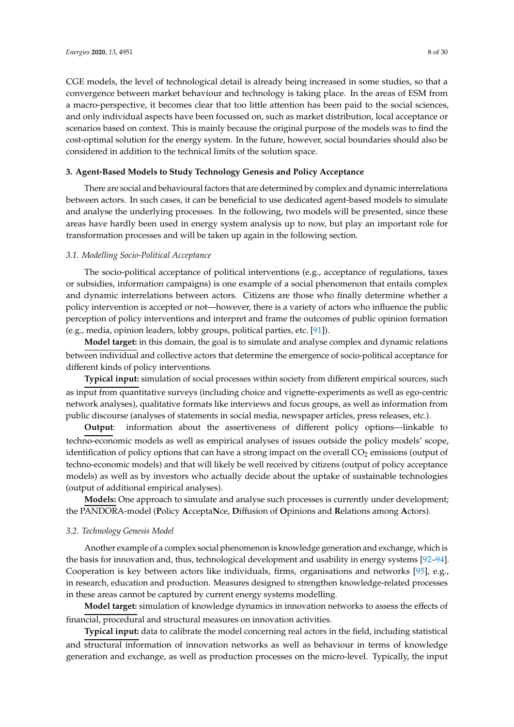CGE models, the level of technological detail is already being increased in some studies, so that a convergence between market behaviour and technology is taking place. In the areas of ESM from a macro-perspective, it becomes clear that too little attention has been paid to the social sciences, and only individual aspects have been focussed on, such as market distribution, local acceptance or scenarios based on context. This is mainly because the original purpose of the models was to find the cost-optimal solution for the energy system. In the future, however, social boundaries should also be considered in addition to the technical limits of the solution space.

## <span id="page-7-0"></span>**3. Agent-Based Models to Study Technology Genesis and Policy Acceptance**

There are social and behavioural factors that are determined by complex and dynamic interrelations between actors. In such cases, it can be beneficial to use dedicated agent-based models to simulate and analyse the underlying processes. In the following, two models will be presented, since these areas have hardly been used in energy system analysis up to now, but play an important role for transformation processes and will be taken up again in the following section.

## <span id="page-7-2"></span>*3.1. Modelling Socio-Political Acceptance*

The socio-political acceptance of political interventions (e.g., acceptance of regulations, taxes or subsidies, information campaigns) is one example of a social phenomenon that entails complex and dynamic interrelations between actors. Citizens are those who finally determine whether a policy intervention is accepted or not—however, there is a variety of actors who influence the public perception of policy interventions and interpret and frame the outcomes of public opinion formation (e.g., media, opinion leaders, lobby groups, political parties, etc. [\[91\]](#page-25-17)).

**Model target:** in this domain, the goal is to simulate and analyse complex and dynamic relations between individual and collective actors that determine the emergence of socio-political acceptance for different kinds of policy interventions.

**Typical input:** simulation of social processes within society from different empirical sources, such as input from quantitative surveys (including choice and vignette-experiments as well as ego-centric network analyses), qualitative formats like interviews and focus groups, as well as information from public discourse (analyses of statements in social media, newspaper articles, press releases, etc.).

**Output**: information about the assertiveness of different policy options—linkable to techno-economic models as well as empirical analyses of issues outside the policy models' scope, identification of policy options that can have a strong impact on the overall  $CO<sub>2</sub>$  emissions (output of techno-economic models) and that will likely be well received by citizens (output of policy acceptance models) as well as by investors who actually decide about the uptake of sustainable technologies (output of additional empirical analyses).

**Models:** One approach to simulate and analyse such processes is currently under development; the PANDORA-model (**P**olicy **A**ccepta**N**ce, **D**iffusion of **O**pinions and **R**elations among **A**ctors).

#### <span id="page-7-1"></span>*3.2. Technology Genesis Model*

Another example of a complex social phenomenon is knowledge generation and exchange, which is the basis for innovation and, thus, technological development and usability in energy systems [\[92–](#page-25-18)[94\]](#page-25-19). Cooperation is key between actors like individuals, firms, organisations and networks [\[95\]](#page-26-0), e.g., in research, education and production. Measures designed to strengthen knowledge-related processes in these areas cannot be captured by current energy systems modelling.

**Model target:** simulation of knowledge dynamics in innovation networks to assess the effects of financial, procedural and structural measures on innovation activities.

**Typical input:** data to calibrate the model concerning real actors in the field, including statistical and structural information of innovation networks as well as behaviour in terms of knowledge generation and exchange, as well as production processes on the micro-level. Typically, the input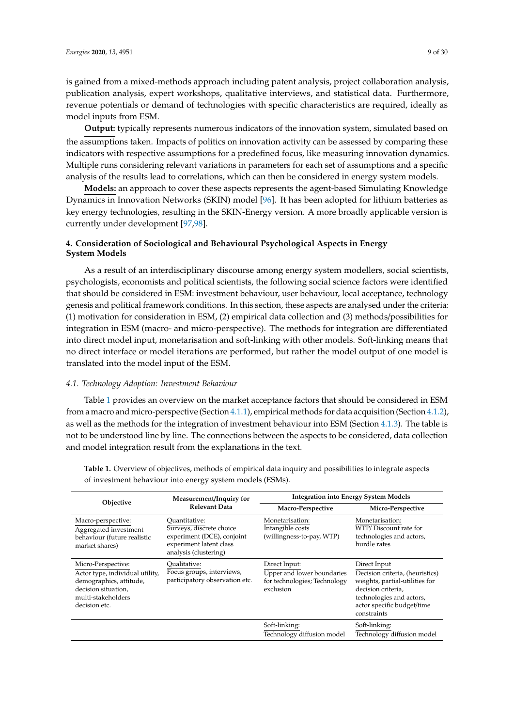**Output:** typically represents numerous indicators of the innovation system, simulated based on the assumptions taken. Impacts of politics on innovation activity can be assessed by comparing these indicators with respective assumptions for a predefined focus, like measuring innovation dynamics. Multiple runs considering relevant variations in parameters for each set of assumptions and a specific analysis of the results lead to correlations, which can then be considered in energy system models.

**Models:** an approach to cover these aspects represents the agent-based Simulating Knowledge Dynamics in Innovation Networks (SKIN) model [\[96\]](#page-26-1). It has been adopted for lithium batteries as key energy technologies, resulting in the SKIN-Energy version. A more broadly applicable version is currently under development [\[97](#page-26-2)[,98\]](#page-26-3).

# <span id="page-8-0"></span>**4. Consideration of Sociological and Behavioural Psychological Aspects in Energy System Models**

As a result of an interdisciplinary discourse among energy system modellers, social scientists, psychologists, economists and political scientists, the following social science factors were identified that should be considered in ESM: investment behaviour, user behaviour, local acceptance, technology genesis and political framework conditions. In this section, these aspects are analysed under the criteria: (1) motivation for consideration in ESM, (2) empirical data collection and (3) methods/possibilities for integration in ESM (macro- and micro-perspective). The methods for integration are differentiated into direct model input, monetarisation and soft-linking with other models. Soft-linking means that no direct interface or model iterations are performed, but rather the model output of one model is translated into the model input of the ESM.

#### *4.1. Technology Adoption: Investment Behaviour*

Table [1](#page-8-1) provides an overview on the market acceptance factors that should be considered in ESM from a macro and micro-perspective (Section [4.1.1\)](#page-9-0), empirical methods for data acquisition (Section [4.1.2\)](#page-9-1), as well as the methods for the integration of investment behaviour into ESM (Section [4.1.3\)](#page-9-2). The table is not to be understood line by line. The connections between the aspects to be considered, data collection and model integration result from the explanations in the text.

| Objective                                                                                                                                      | Measurement/Inquiry for<br><b>Relevant Data</b>                                                                             | <b>Integration into Energy System Models</b>                                             |                                                                                                                                                                                  |  |
|------------------------------------------------------------------------------------------------------------------------------------------------|-----------------------------------------------------------------------------------------------------------------------------|------------------------------------------------------------------------------------------|----------------------------------------------------------------------------------------------------------------------------------------------------------------------------------|--|
|                                                                                                                                                |                                                                                                                             | Macro-Perspective                                                                        | Micro-Perspective                                                                                                                                                                |  |
| Macro-perspective:<br>Aggregated investment<br>behaviour (future realistic<br>market shares)                                                   | Ouantitative:<br>Surveys, discrete choice<br>experiment (DCE), conjoint<br>experiment latent class<br>analysis (clustering) | Monetarisation:<br>Intangible costs<br>(willingness-to-pay, WTP)                         | Monetarisation:<br>WTP/Discount rate for<br>technologies and actors,<br>hurdle rates                                                                                             |  |
| Micro-Perspective:<br>Actor type, individual utility,<br>demographics, attitude,<br>decision situation,<br>multi-stakeholders<br>decision etc. | Oualitative:<br>Focus groups, interviews,<br>participatory observation etc.                                                 | Direct Input:<br>Upper and lower boundaries<br>for technologies; Technology<br>exclusion | Direct Input<br>Decision criteria, (heuristics)<br>weights, partial-utilities for<br>decision criteria.<br>technologies and actors,<br>actor specific budget/time<br>constraints |  |
|                                                                                                                                                |                                                                                                                             | Soft-linking:<br>Technology diffusion model                                              | Soft-linking:<br>Technology diffusion model                                                                                                                                      |  |

<span id="page-8-1"></span>**Table 1.** Overview of objectives, methods of empirical data inquiry and possibilities to integrate aspects of investment behaviour into energy system models (ESMs).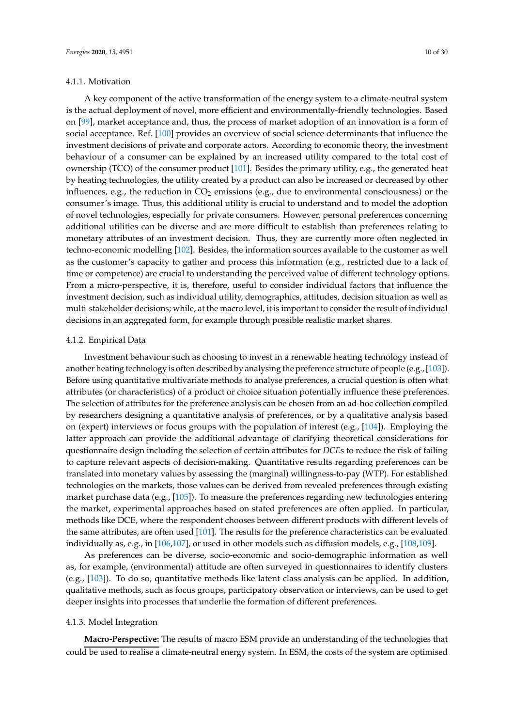<span id="page-9-0"></span>A key component of the active transformation of the energy system to a climate-neutral system is the actual deployment of novel, more efficient and environmentally-friendly technologies. Based on [\[99\]](#page-26-4), market acceptance and, thus, the process of market adoption of an innovation is a form of social acceptance. Ref. [\[100\]](#page-26-5) provides an overview of social science determinants that influence the investment decisions of private and corporate actors. According to economic theory, the investment behaviour of a consumer can be explained by an increased utility compared to the total cost of ownership (TCO) of the consumer product [\[101\]](#page-26-6). Besides the primary utility, e.g., the generated heat by heating technologies, the utility created by a product can also be increased or decreased by other influences, e.g., the reduction in  $CO<sub>2</sub>$  emissions (e.g., due to environmental consciousness) or the consumer's image. Thus, this additional utility is crucial to understand and to model the adoption of novel technologies, especially for private consumers. However, personal preferences concerning additional utilities can be diverse and are more difficult to establish than preferences relating to monetary attributes of an investment decision. Thus, they are currently more often neglected in techno-economic modelling [\[102\]](#page-26-7). Besides, the information sources available to the customer as well as the customer's capacity to gather and process this information (e.g., restricted due to a lack of time or competence) are crucial to understanding the perceived value of different technology options. From a micro-perspective, it is, therefore, useful to consider individual factors that influence the investment decision, such as individual utility, demographics, attitudes, decision situation as well as multi-stakeholder decisions; while, at the macro level, it is important to consider the result of individual decisions in an aggregated form, for example through possible realistic market shares.

#### <span id="page-9-1"></span>4.1.2. Empirical Data

Investment behaviour such as choosing to invest in a renewable heating technology instead of another heating technology is often described by analysing the preference structure of people (e.g., [\[103\]](#page-26-8)). Before using quantitative multivariate methods to analyse preferences, a crucial question is often what attributes (or characteristics) of a product or choice situation potentially influence these preferences. The selection of attributes for the preference analysis can be chosen from an ad-hoc collection compiled by researchers designing a quantitative analysis of preferences, or by a qualitative analysis based on (expert) interviews or focus groups with the population of interest (e.g., [\[104\]](#page-26-9)). Employing the latter approach can provide the additional advantage of clarifying theoretical considerations for questionnaire design including the selection of certain attributes for *DCE*s to reduce the risk of failing to capture relevant aspects of decision-making. Quantitative results regarding preferences can be translated into monetary values by assessing the (marginal) willingness-to-pay (WTP). For established technologies on the markets, those values can be derived from revealed preferences through existing market purchase data (e.g., [\[105\]](#page-26-10)). To measure the preferences regarding new technologies entering the market, experimental approaches based on stated preferences are often applied. In particular, methods like DCE, where the respondent chooses between different products with different levels of the same attributes, are often used [\[101\]](#page-26-6). The results for the preference characteristics can be evaluated individually as, e.g., in [\[106,](#page-26-11)[107\]](#page-26-12), or used in other models such as diffusion models, e.g., [\[108,](#page-26-13)[109\]](#page-26-14).

As preferences can be diverse, socio-economic and socio-demographic information as well as, for example, (environmental) attitude are often surveyed in questionnaires to identify clusters (e.g., [\[103\]](#page-26-8)). To do so, quantitative methods like latent class analysis can be applied. In addition, qualitative methods, such as focus groups, participatory observation or interviews, can be used to get deeper insights into processes that underlie the formation of different preferences.

#### <span id="page-9-2"></span>4.1.3. Model Integration

**Macro-Perspective:** The results of macro ESM provide an understanding of the technologies that could be used to realise a climate-neutral energy system. In ESM, the costs of the system are optimised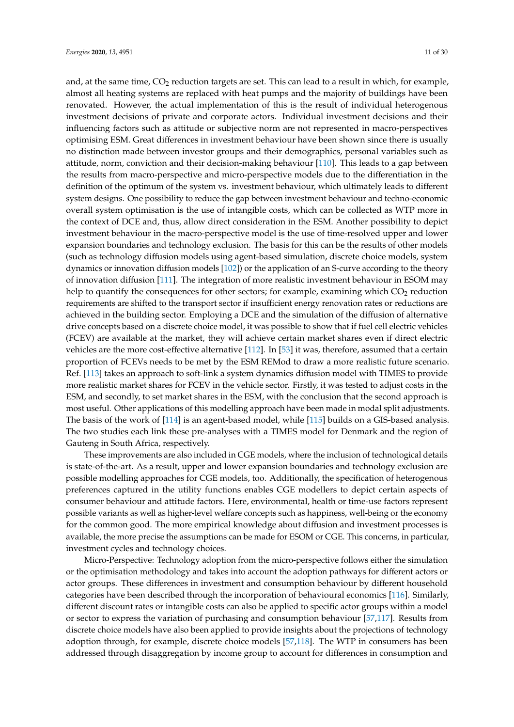and, at the same time,  $CO<sub>2</sub>$  reduction targets are set. This can lead to a result in which, for example, almost all heating systems are replaced with heat pumps and the majority of buildings have been renovated. However, the actual implementation of this is the result of individual heterogenous investment decisions of private and corporate actors. Individual investment decisions and their influencing factors such as attitude or subjective norm are not represented in macro-perspectives optimising ESM. Great differences in investment behaviour have been shown since there is usually no distinction made between investor groups and their demographics, personal variables such as attitude, norm, conviction and their decision-making behaviour [\[110\]](#page-26-15). This leads to a gap between the results from macro-perspective and micro-perspective models due to the differentiation in the definition of the optimum of the system vs. investment behaviour, which ultimately leads to different system designs. One possibility to reduce the gap between investment behaviour and techno-economic overall system optimisation is the use of intangible costs, which can be collected as WTP more in the context of DCE and, thus, allow direct consideration in the ESM. Another possibility to depict investment behaviour in the macro-perspective model is the use of time-resolved upper and lower expansion boundaries and technology exclusion. The basis for this can be the results of other models (such as technology diffusion models using agent-based simulation, discrete choice models, system dynamics or innovation diffusion models [\[102\]](#page-26-7)) or the application of an S-curve according to the theory of innovation diffusion [\[111\]](#page-26-16). The integration of more realistic investment behaviour in ESOM may help to quantify the consequences for other sectors; for example, examining which  $CO<sub>2</sub>$  reduction requirements are shifted to the transport sector if insufficient energy renovation rates or reductions are achieved in the building sector. Employing a DCE and the simulation of the diffusion of alternative drive concepts based on a discrete choice model, it was possible to show that if fuel cell electric vehicles (FCEV) are available at the market, they will achieve certain market shares even if direct electric vehicles are the more cost-effective alternative [\[112\]](#page-26-17). In [\[53\]](#page-24-4) it was, therefore, assumed that a certain proportion of FCEVs needs to be met by the ESM REMod to draw a more realistic future scenario. Ref. [\[113\]](#page-26-18) takes an approach to soft-link a system dynamics diffusion model with TIMES to provide more realistic market shares for FCEV in the vehicle sector. Firstly, it was tested to adjust costs in the ESM, and secondly, to set market shares in the ESM, with the conclusion that the second approach is most useful. Other applications of this modelling approach have been made in modal split adjustments. The basis of the work of [\[114\]](#page-26-19) is an agent-based model, while [\[115\]](#page-26-20) builds on a GIS-based analysis. The two studies each link these pre-analyses with a TIMES model for Denmark and the region of Gauteng in South Africa, respectively.

These improvements are also included in CGE models, where the inclusion of technological details is state-of-the-art. As a result, upper and lower expansion boundaries and technology exclusion are possible modelling approaches for CGE models, too. Additionally, the specification of heterogenous preferences captured in the utility functions enables CGE modellers to depict certain aspects of consumer behaviour and attitude factors. Here, environmental, health or time-use factors represent possible variants as well as higher-level welfare concepts such as happiness, well-being or the economy for the common good. The more empirical knowledge about diffusion and investment processes is available, the more precise the assumptions can be made for ESOM or CGE. This concerns, in particular, investment cycles and technology choices.

Micro-Perspective: Technology adoption from the micro-perspective follows either the simulation or the optimisation methodology and takes into account the adoption pathways for different actors or actor groups. These differences in investment and consumption behaviour by different household categories have been described through the incorporation of behavioural economics [\[116\]](#page-26-21). Similarly, different discount rates or intangible costs can also be applied to specific actor groups within a model or sector to express the variation of purchasing and consumption behaviour [\[57,](#page-24-8)[117\]](#page-27-0). Results from discrete choice models have also been applied to provide insights about the projections of technology adoption through, for example, discrete choice models [\[57,](#page-24-8)[118\]](#page-27-1). The WTP in consumers has been addressed through disaggregation by income group to account for differences in consumption and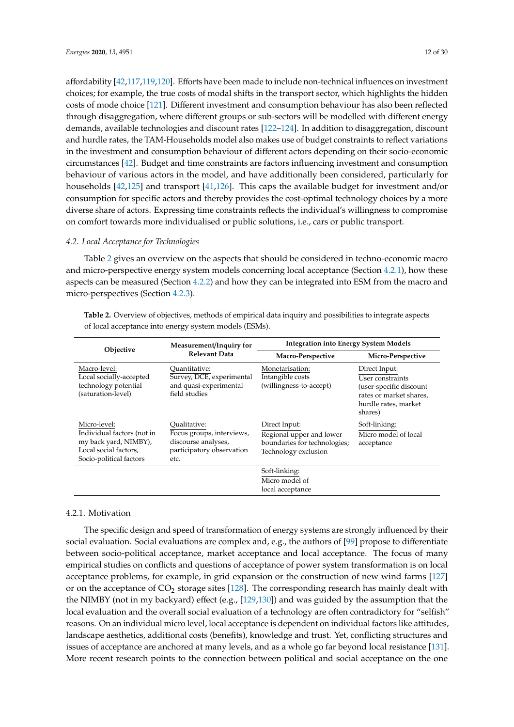affordability [\[42](#page-23-17)[,117,](#page-27-0)[119,](#page-27-2)[120\]](#page-27-3). Efforts have been made to include non-technical influences on investment choices; for example, the true costs of modal shifts in the transport sector, which highlights the hidden costs of mode choice [\[121\]](#page-27-4). Different investment and consumption behaviour has also been reflected through disaggregation, where different groups or sub-sectors will be modelled with different energy demands, available technologies and discount rates [\[122–](#page-27-5)[124\]](#page-27-6). In addition to disaggregation, discount and hurdle rates, the TAM-Households model also makes use of budget constraints to reflect variations in the investment and consumption behaviour of different actors depending on their socio-economic circumstances [\[42\]](#page-23-17). Budget and time constraints are factors influencing investment and consumption behaviour of various actors in the model, and have additionally been considered, particularly for households [\[42](#page-23-17)[,125\]](#page-27-7) and transport [\[41](#page-23-15)[,126\]](#page-27-8). This caps the available budget for investment and/or consumption for specific actors and thereby provides the cost-optimal technology choices by a more diverse share of actors. Expressing time constraints reflects the individual's willingness to compromise on comfort towards more individualised or public solutions, i.e., cars or public transport.

#### *4.2. Local Acceptance for Technologies*

Table [2](#page-11-0) gives an overview on the aspects that should be considered in techno-economic macro and micro-perspective energy system models concerning local acceptance (Section [4.2.1\)](#page-11-1), how these aspects can be measured (Section [4.2.2\)](#page-12-0) and how they can be integrated into ESM from the macro and micro-perspectives (Section [4.2.3\)](#page-12-1).

| Objective                                                                                                               | Measurement/Inquiry for<br><b>Relevant Data</b>                                                       | <b>Integration into Energy System Models</b>                                                      |                                                                                                                            |  |
|-------------------------------------------------------------------------------------------------------------------------|-------------------------------------------------------------------------------------------------------|---------------------------------------------------------------------------------------------------|----------------------------------------------------------------------------------------------------------------------------|--|
|                                                                                                                         |                                                                                                       | Macro-Perspective                                                                                 | Micro-Perspective                                                                                                          |  |
| Macro-level:<br>Local socially-accepted<br>technology potential<br>(saturation-level)                                   | Ouantitative:<br>Survey, DCE, experimental<br>and quasi-experimental<br>field studies                 | Monetarisation:<br>Intangible costs<br>(willingness-to-accept)                                    | Direct Input:<br>User constraints<br>(user-specific discount<br>rates or market shares,<br>hurdle rates, market<br>shares) |  |
| Micro-level:<br>Individual factors (not in<br>my back yard, NIMBY),<br>Local social factors,<br>Socio-political factors | Oualitative:<br>Focus groups, interviews,<br>discourse analyses,<br>participatory observation<br>etc. | Direct Input:<br>Regional upper and lower<br>boundaries for technologies;<br>Technology exclusion | Soft-linking:<br>Micro model of local<br>acceptance                                                                        |  |
|                                                                                                                         |                                                                                                       | Soft-linking:<br>Micro model of<br>local acceptance                                               |                                                                                                                            |  |

<span id="page-11-0"></span>

| Table 2. Overview of objectives, methods of empirical data inquiry and possibilities to integrate aspects |  |  |  |
|-----------------------------------------------------------------------------------------------------------|--|--|--|
| of local acceptance into energy system models (ESMs).                                                     |  |  |  |

#### <span id="page-11-1"></span>4.2.1. Motivation

The specific design and speed of transformation of energy systems are strongly influenced by their social evaluation. Social evaluations are complex and, e.g., the authors of [\[99\]](#page-26-4) propose to differentiate between socio-political acceptance, market acceptance and local acceptance. The focus of many empirical studies on conflicts and questions of acceptance of power system transformation is on local acceptance problems, for example, in grid expansion or the construction of new wind farms [\[127\]](#page-27-9) or on the acceptance of  $CO<sub>2</sub>$  storage sites [\[128\]](#page-27-10). The corresponding research has mainly dealt with the NIMBY (not in my backyard) effect (e.g., [\[129,](#page-27-11)[130\]](#page-27-12)) and was guided by the assumption that the local evaluation and the overall social evaluation of a technology are often contradictory for "selfish" reasons. On an individual micro level, local acceptance is dependent on individual factors like attitudes, landscape aesthetics, additional costs (benefits), knowledge and trust. Yet, conflicting structures and issues of acceptance are anchored at many levels, and as a whole go far beyond local resistance [\[131\]](#page-27-13). More recent research points to the connection between political and social acceptance on the one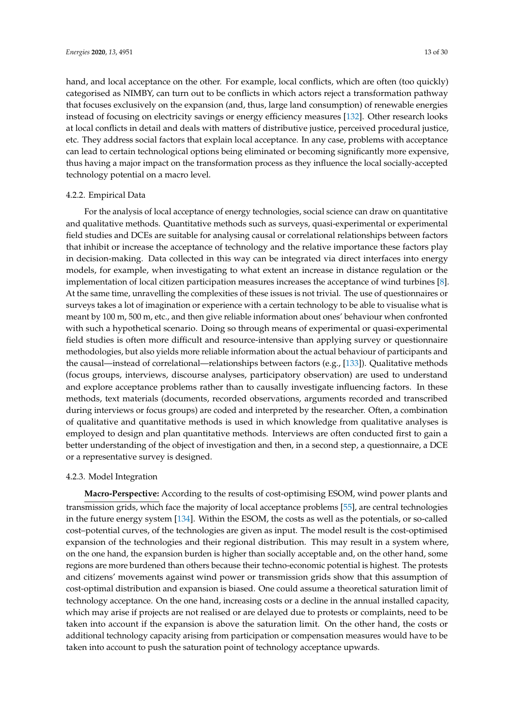hand, and local acceptance on the other. For example, local conflicts, which are often (too quickly) categorised as NIMBY, can turn out to be conflicts in which actors reject a transformation pathway that focuses exclusively on the expansion (and, thus, large land consumption) of renewable energies instead of focusing on electricity savings or energy efficiency measures [\[132\]](#page-27-14). Other research looks at local conflicts in detail and deals with matters of distributive justice, perceived procedural justice, etc. They address social factors that explain local acceptance. In any case, problems with acceptance can lead to certain technological options being eliminated or becoming significantly more expensive, thus having a major impact on the transformation process as they influence the local socially-accepted technology potential on a macro level.

#### <span id="page-12-0"></span>4.2.2. Empirical Data

For the analysis of local acceptance of energy technologies, social science can draw on quantitative and qualitative methods. Quantitative methods such as surveys, quasi-experimental or experimental field studies and DCEs are suitable for analysing causal or correlational relationships between factors that inhibit or increase the acceptance of technology and the relative importance these factors play in decision-making. Data collected in this way can be integrated via direct interfaces into energy models, for example, when investigating to what extent an increase in distance regulation or the implementation of local citizen participation measures increases the acceptance of wind turbines [\[8\]](#page-22-3). At the same time, unravelling the complexities of these issues is not trivial. The use of questionnaires or surveys takes a lot of imagination or experience with a certain technology to be able to visualise what is meant by 100 m, 500 m, etc., and then give reliable information about ones' behaviour when confronted with such a hypothetical scenario. Doing so through means of experimental or quasi-experimental field studies is often more difficult and resource-intensive than applying survey or questionnaire methodologies, but also yields more reliable information about the actual behaviour of participants and the causal—instead of correlational—relationships between factors (e.g., [\[133\]](#page-27-15)). Qualitative methods (focus groups, interviews, discourse analyses, participatory observation) are used to understand and explore acceptance problems rather than to causally investigate influencing factors. In these methods, text materials (documents, recorded observations, arguments recorded and transcribed during interviews or focus groups) are coded and interpreted by the researcher. Often, a combination of qualitative and quantitative methods is used in which knowledge from qualitative analyses is employed to design and plan quantitative methods. Interviews are often conducted first to gain a better understanding of the object of investigation and then, in a second step, a questionnaire, a DCE or a representative survey is designed.

#### <span id="page-12-1"></span>4.2.3. Model Integration

**Macro-Perspective:** According to the results of cost-optimising ESOM, wind power plants and transmission grids, which face the majority of local acceptance problems [\[55\]](#page-24-6), are central technologies in the future energy system [\[134\]](#page-27-16). Within the ESOM, the costs as well as the potentials, or so-called cost–potential curves, of the technologies are given as input. The model result is the cost-optimised expansion of the technologies and their regional distribution. This may result in a system where, on the one hand, the expansion burden is higher than socially acceptable and, on the other hand, some regions are more burdened than others because their techno-economic potential is highest. The protests and citizens' movements against wind power or transmission grids show that this assumption of cost-optimal distribution and expansion is biased. One could assume a theoretical saturation limit of technology acceptance. On the one hand, increasing costs or a decline in the annual installed capacity, which may arise if projects are not realised or are delayed due to protests or complaints, need to be taken into account if the expansion is above the saturation limit. On the other hand, the costs or additional technology capacity arising from participation or compensation measures would have to be taken into account to push the saturation point of technology acceptance upwards.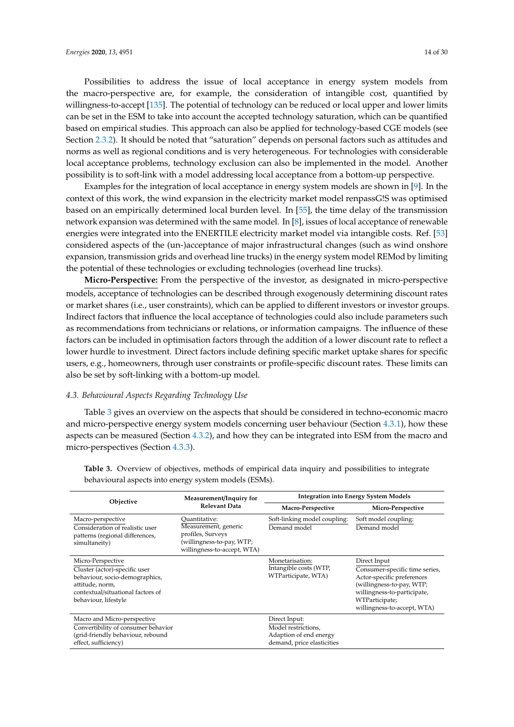Possibilities to address the issue of local acceptance in energy system models from the macro-perspective are, for example, the consideration of intangible cost, quantified by willingness-to-accept [\[135\]](#page-28-0). The potential of technology can be reduced or local upper and lower limits can be set in the ESM to take into account the accepted technology saturation, which can be quantified based on empirical studies. This approach can also be applied for technology-based CGE models (see Section [2.3.2\)](#page-6-0). It should be noted that "saturation" depends on personal factors such as attitudes and norms as well as regional conditions and is very heterogeneous. For technologies with considerable local acceptance problems, technology exclusion can also be implemented in the model. Another possibility is to soft-link with a model addressing local acceptance from a bottom-up perspective.

Examples for the integration of local acceptance in energy system models are shown in [\[9\]](#page-22-4). In the context of this work, the wind expansion in the electricity market model renpassG!S was optimised based on an empirically determined local burden level. In [\[55\]](#page-24-6), the time delay of the transmission network expansion was determined with the same model. In [\[8\]](#page-22-3), issues of local acceptance of renewable energies were integrated into the ENERTILE electricity market model via intangible costs. Ref. [\[53\]](#page-24-4) considered aspects of the (un-)acceptance of major infrastructural changes (such as wind onshore expansion, transmission grids and overhead line trucks) in the energy system model REMod by limiting the potential of these technologies or excluding technologies (overhead line trucks).

**Micro-Perspective:** From the perspective of the investor, as designated in micro-perspective models, acceptance of technologies can be described through exogenously determining discount rates or market shares (i.e., user constraints), which can be applied to different investors or investor groups. Indirect factors that influence the local acceptance of technologies could also include parameters such as recommendations from technicians or relations, or information campaigns. The influence of these factors can be included in optimisation factors through the addition of a lower discount rate to reflect a lower hurdle to investment. Direct factors include defining specific market uptake shares for specific users, e.g., homeowners, through user constraints or profile-specific discount rates. These limits can also be set by soft-linking with a bottom-up model.

#### *4.3. Behavioural Aspects Regarding Technology Use*

Table [3](#page-13-0) gives an overview on the aspects that should be considered in techno-economic macro and micro-perspective energy system models concerning user behaviour (Section [4.3.1\)](#page-14-0), how these aspects can be measured (Section [4.3.2\)](#page-14-1), and how they can be integrated into ESM from the macro and micro-perspectives (Section [4.3.3\)](#page-14-2).

| Objective                                                                                                                                                            | Measurement/Inquiry for<br><b>Relevant Data</b>                                                                        | <b>Integration into Energy System Models</b>                                                 |                                                                                                                                                                                           |  |
|----------------------------------------------------------------------------------------------------------------------------------------------------------------------|------------------------------------------------------------------------------------------------------------------------|----------------------------------------------------------------------------------------------|-------------------------------------------------------------------------------------------------------------------------------------------------------------------------------------------|--|
|                                                                                                                                                                      |                                                                                                                        | Macro-Perspective                                                                            | Micro-Perspective                                                                                                                                                                         |  |
| Macro-perspective<br>Consideration of realistic user<br>patterns (regional differences,<br>simultaneity)                                                             | Quantitative:<br>Measurement, generic<br>profiles, Surveys<br>(willingness-to-pay, WTP;<br>willingness-to-accept, WTA) | Soft-linking model coupling:<br>Demand model                                                 | Soft model coupling:<br>Demand model                                                                                                                                                      |  |
| Micro-Perspective<br>Cluster (actor)-specific user<br>behaviour, socio-demographics,<br>attitude, norm,<br>contextual/situational factors of<br>behaviour, lifestyle |                                                                                                                        | Monetarisation:<br>Intangible costs (WTP,<br>WTParticipate, WTA)                             | Direct Input<br>Consumer-specific time series,<br>Actor-specific preferences<br>(willingness-to-pay, WTP;<br>willingness-to-participate,<br>WTParticipate;<br>willingness-to-accept, WTA) |  |
| Macro and Micro-perspective<br>Convertibility of consumer behavior<br>(grid-friendly behaviour, rebound<br>effect, sufficiency)                                      |                                                                                                                        | Direct Input:<br>Model restrictions,<br>Adaption of end energy<br>demand, price elasticities |                                                                                                                                                                                           |  |

<span id="page-13-0"></span>**Table 3.** Overview of objectives, methods of empirical data inquiry and possibilities to integrate behavioural aspects into energy system models (ESMs).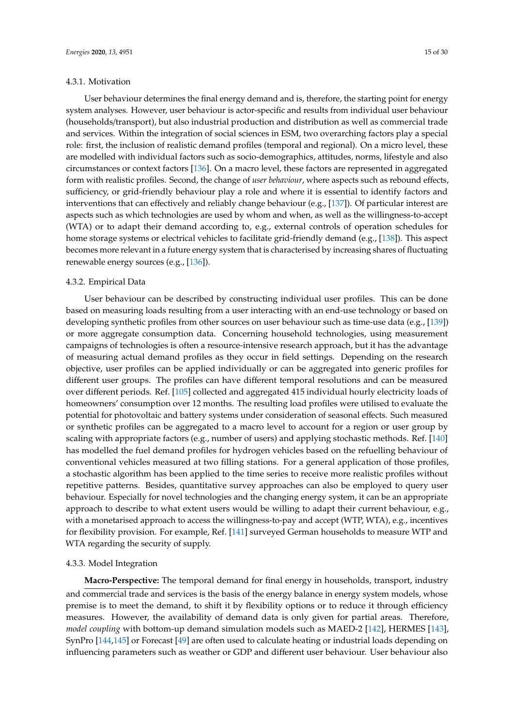#### <span id="page-14-0"></span>4.3.1. Motivation

User behaviour determines the final energy demand and is, therefore, the starting point for energy system analyses. However, user behaviour is actor-specific and results from individual user behaviour (households/transport), but also industrial production and distribution as well as commercial trade and services. Within the integration of social sciences in ESM, two overarching factors play a special role: first, the inclusion of realistic demand profiles (temporal and regional). On a micro level, these are modelled with individual factors such as socio-demographics, attitudes, norms, lifestyle and also circumstances or context factors [\[136\]](#page-28-1). On a macro level, these factors are represented in aggregated form with realistic profiles. Second, the change of *user behaviour*, where aspects such as rebound effects, sufficiency, or grid-friendly behaviour play a role and where it is essential to identify factors and interventions that can effectively and reliably change behaviour (e.g., [\[137\]](#page-28-2)). Of particular interest are aspects such as which technologies are used by whom and when, as well as the willingness-to-accept (WTA) or to adapt their demand according to, e.g., external controls of operation schedules for home storage systems or electrical vehicles to facilitate grid-friendly demand (e.g., [\[138\]](#page-28-3)). This aspect becomes more relevant in a future energy system that is characterised by increasing shares of fluctuating renewable energy sources (e.g., [\[136\]](#page-28-1)).

#### <span id="page-14-1"></span>4.3.2. Empirical Data

User behaviour can be described by constructing individual user profiles. This can be done based on measuring loads resulting from a user interacting with an end-use technology or based on developing synthetic profiles from other sources on user behaviour such as time-use data (e.g., [\[139\]](#page-28-4)) or more aggregate consumption data. Concerning household technologies, using measurement campaigns of technologies is often a resource-intensive research approach, but it has the advantage of measuring actual demand profiles as they occur in field settings. Depending on the research objective, user profiles can be applied individually or can be aggregated into generic profiles for different user groups. The profiles can have different temporal resolutions and can be measured over different periods. Ref. [\[105\]](#page-26-10) collected and aggregated 415 individual hourly electricity loads of homeowners' consumption over 12 months. The resulting load profiles were utilised to evaluate the potential for photovoltaic and battery systems under consideration of seasonal effects. Such measured or synthetic profiles can be aggregated to a macro level to account for a region or user group by scaling with appropriate factors (e.g., number of users) and applying stochastic methods. Ref. [\[140\]](#page-28-5) has modelled the fuel demand profiles for hydrogen vehicles based on the refuelling behaviour of conventional vehicles measured at two filling stations. For a general application of those profiles, a stochastic algorithm has been applied to the time series to receive more realistic profiles without repetitive patterns. Besides, quantitative survey approaches can also be employed to query user behaviour. Especially for novel technologies and the changing energy system, it can be an appropriate approach to describe to what extent users would be willing to adapt their current behaviour, e.g., with a monetarised approach to access the willingness-to-pay and accept (WTP, WTA), e.g., incentives for flexibility provision. For example, Ref. [\[141\]](#page-28-6) surveyed German households to measure WTP and WTA regarding the security of supply.

#### <span id="page-14-2"></span>4.3.3. Model Integration

**Macro-Perspective:** The temporal demand for final energy in households, transport, industry and commercial trade and services is the basis of the energy balance in energy system models, whose premise is to meet the demand, to shift it by flexibility options or to reduce it through efficiency measures. However, the availability of demand data is only given for partial areas. Therefore, *model coupling* with bottom-up demand simulation models such as MAED-2 [\[142\]](#page-28-7), HERMES [\[143\]](#page-28-8), SynPro [\[144](#page-28-9)[,145\]](#page-28-10) or Forecast [\[49\]](#page-24-1) are often used to calculate heating or industrial loads depending on influencing parameters such as weather or GDP and different user behaviour. User behaviour also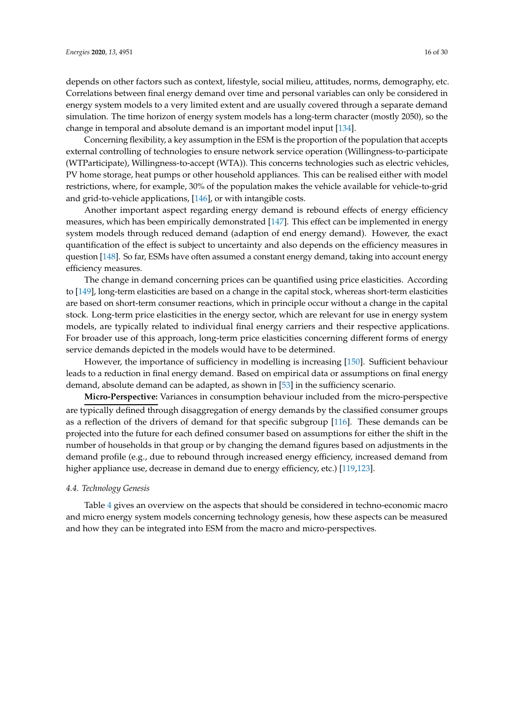depends on other factors such as context, lifestyle, social milieu, attitudes, norms, demography, etc. Correlations between final energy demand over time and personal variables can only be considered in energy system models to a very limited extent and are usually covered through a separate demand simulation. The time horizon of energy system models has a long-term character (mostly 2050), so the change in temporal and absolute demand is an important model input [\[134\]](#page-27-16).

Concerning flexibility, a key assumption in the ESM is the proportion of the population that accepts external controlling of technologies to ensure network service operation (Willingness-to-participate (WTParticipate), Willingness-to-accept (WTA)). This concerns technologies such as electric vehicles, PV home storage, heat pumps or other household appliances. This can be realised either with model restrictions, where, for example, 30% of the population makes the vehicle available for vehicle-to-grid and grid-to-vehicle applications, [\[146\]](#page-28-11), or with intangible costs.

Another important aspect regarding energy demand is rebound effects of energy efficiency measures, which has been empirically demonstrated [\[147\]](#page-28-12). This effect can be implemented in energy system models through reduced demand (adaption of end energy demand). However, the exact quantification of the effect is subject to uncertainty and also depends on the efficiency measures in question [\[148\]](#page-28-13). So far, ESMs have often assumed a constant energy demand, taking into account energy efficiency measures.

The change in demand concerning prices can be quantified using price elasticities. According to [\[149\]](#page-28-14), long-term elasticities are based on a change in the capital stock, whereas short-term elasticities are based on short-term consumer reactions, which in principle occur without a change in the capital stock. Long-term price elasticities in the energy sector, which are relevant for use in energy system models, are typically related to individual final energy carriers and their respective applications. For broader use of this approach, long-term price elasticities concerning different forms of energy service demands depicted in the models would have to be determined.

However, the importance of sufficiency in modelling is increasing [\[150\]](#page-28-15). Sufficient behaviour leads to a reduction in final energy demand. Based on empirical data or assumptions on final energy demand, absolute demand can be adapted, as shown in [\[53\]](#page-24-4) in the sufficiency scenario.

**Micro-Perspective:** Variances in consumption behaviour included from the micro-perspective are typically defined through disaggregation of energy demands by the classified consumer groups as a reflection of the drivers of demand for that specific subgroup [\[116\]](#page-26-21). These demands can be projected into the future for each defined consumer based on assumptions for either the shift in the number of households in that group or by changing the demand figures based on adjustments in the demand profile (e.g., due to rebound through increased energy efficiency, increased demand from higher appliance use, decrease in demand due to energy efficiency, etc.) [\[119](#page-27-2)[,123\]](#page-27-17).

#### *4.4. Technology Genesis*

Table [4](#page-16-0) gives an overview on the aspects that should be considered in techno-economic macro and micro energy system models concerning technology genesis, how these aspects can be measured and how they can be integrated into ESM from the macro and micro-perspectives.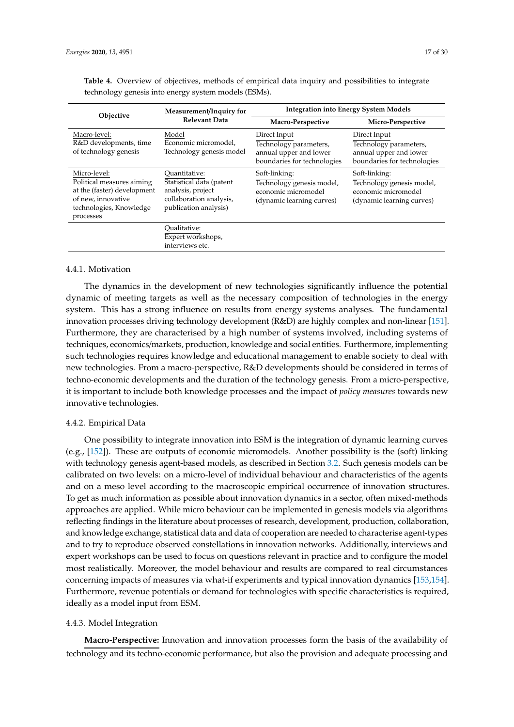| Objective                                                                                                                              | Measurement/Inquiry for<br><b>Relevant Data</b>                                                                    | <b>Integration into Energy System Models</b>                                                    |                                                                                                 |  |
|----------------------------------------------------------------------------------------------------------------------------------------|--------------------------------------------------------------------------------------------------------------------|-------------------------------------------------------------------------------------------------|-------------------------------------------------------------------------------------------------|--|
|                                                                                                                                        |                                                                                                                    | Macro-Perspective                                                                               | Micro-Perspective                                                                               |  |
| Macro-level:<br>R&D developments, time<br>of technology genesis                                                                        | Model<br>Economic micromodel,<br>Technology genesis model                                                          | Direct Input<br>Technology parameters,<br>annual upper and lower<br>boundaries for technologies | Direct Input<br>Technology parameters,<br>annual upper and lower<br>boundaries for technologies |  |
| Micro-level:<br>Political measures aiming<br>at the (faster) development<br>of new, innovative<br>technologies, Knowledge<br>processes | Ouantitative:<br>Statistical data (patent<br>analysis, project<br>collaboration analysis,<br>publication analysis) | Soft-linking:<br>Technology genesis model,<br>economic micromodel<br>(dynamic learning curves)  | Soft-linking:<br>Technology genesis model,<br>economic micromodel<br>(dynamic learning curves)  |  |
|                                                                                                                                        | Oualitative:<br>Expert workshops,<br>interviews etc.                                                               |                                                                                                 |                                                                                                 |  |

<span id="page-16-0"></span>**Table 4.** Overview of objectives, methods of empirical data inquiry and possibilities to integrate technology genesis into energy system models (ESMs).

#### 4.4.1. Motivation

The dynamics in the development of new technologies significantly influence the potential dynamic of meeting targets as well as the necessary composition of technologies in the energy system. This has a strong influence on results from energy systems analyses. The fundamental innovation processes driving technology development (R&D) are highly complex and non-linear [\[151\]](#page-28-16). Furthermore, they are characterised by a high number of systems involved, including systems of techniques, economics/markets, production, knowledge and social entities. Furthermore, implementing such technologies requires knowledge and educational management to enable society to deal with new technologies. From a macro-perspective, R&D developments should be considered in terms of techno-economic developments and the duration of the technology genesis. From a micro-perspective, it is important to include both knowledge processes and the impact of *policy measures* towards new innovative technologies.

#### 4.4.2. Empirical Data

One possibility to integrate innovation into ESM is the integration of dynamic learning curves (e.g., [\[152\]](#page-28-17)). These are outputs of economic micromodels. Another possibility is the (soft) linking with technology genesis agent-based models, as described in Section [3.2.](#page-7-1) Such genesis models can be calibrated on two levels: on a micro-level of individual behaviour and characteristics of the agents and on a meso level according to the macroscopic empirical occurrence of innovation structures. To get as much information as possible about innovation dynamics in a sector, often mixed-methods approaches are applied. While micro behaviour can be implemented in genesis models via algorithms reflecting findings in the literature about processes of research, development, production, collaboration, and knowledge exchange, statistical data and data of cooperation are needed to characterise agent-types and to try to reproduce observed constellations in innovation networks. Additionally, interviews and expert workshops can be used to focus on questions relevant in practice and to configure the model most realistically. Moreover, the model behaviour and results are compared to real circumstances concerning impacts of measures via what-if experiments and typical innovation dynamics [\[153,](#page-28-18)[154\]](#page-28-19). Furthermore, revenue potentials or demand for technologies with specific characteristics is required, ideally as a model input from ESM.

#### 4.4.3. Model Integration

**Macro-Perspective:** Innovation and innovation processes form the basis of the availability of technology and its techno-economic performance, but also the provision and adequate processing and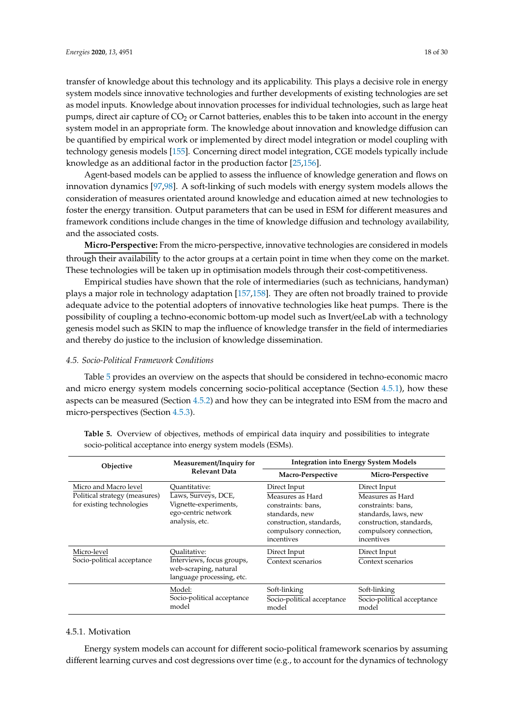transfer of knowledge about this technology and its applicability. This plays a decisive role in energy system models since innovative technologies and further developments of existing technologies are set as model inputs. Knowledge about innovation processes for individual technologies, such as large heat pumps, direct air capture of  $CO<sub>2</sub>$  or Carnot batteries, enables this to be taken into account in the energy system model in an appropriate form. The knowledge about innovation and knowledge diffusion can be quantified by empirical work or implemented by direct model integration or model coupling with technology genesis models [\[155\]](#page-28-20). Concerning direct model integration, CGE models typically include knowledge as an additional factor in the production factor [\[25](#page-22-16)[,156\]](#page-29-0).

Agent-based models can be applied to assess the influence of knowledge generation and flows on innovation dynamics [\[97](#page-26-2)[,98\]](#page-26-3). A soft-linking of such models with energy system models allows the consideration of measures orientated around knowledge and education aimed at new technologies to foster the energy transition. Output parameters that can be used in ESM for different measures and framework conditions include changes in the time of knowledge diffusion and technology availability, and the associated costs.

**Micro-Perspective:** From the micro-perspective, innovative technologies are considered in models through their availability to the actor groups at a certain point in time when they come on the market. These technologies will be taken up in optimisation models through their cost-competitiveness.

Empirical studies have shown that the role of intermediaries (such as technicians, handyman) plays a major role in technology adaptation [\[157](#page-29-1)[,158\]](#page-29-2). They are often not broadly trained to provide adequate advice to the potential adopters of innovative technologies like heat pumps. There is the possibility of coupling a techno-economic bottom-up model such as Invert/eeLab with a technology genesis model such as SKIN to map the influence of knowledge transfer in the field of intermediaries and thereby do justice to the inclusion of knowledge dissemination.

#### *4.5. Socio-Political Framework Conditions*

Table [5](#page-17-0) provides an overview on the aspects that should be considered in techno-economic macro and micro energy system models concerning socio-political acceptance (Section [4.5.1\)](#page-17-1), how these aspects can be measured (Section [4.5.2\)](#page-18-0) and how they can be integrated into ESM from the macro and micro-perspectives (Section [4.5.3\)](#page-18-1).

| Objective                                                                           | Measurement/Inquiry for<br><b>Relevant Data</b>                                                        | <b>Integration into Energy System Models</b>                                                                                                 |                                                                                                                                                    |  |
|-------------------------------------------------------------------------------------|--------------------------------------------------------------------------------------------------------|----------------------------------------------------------------------------------------------------------------------------------------------|----------------------------------------------------------------------------------------------------------------------------------------------------|--|
|                                                                                     |                                                                                                        | Macro-Perspective                                                                                                                            | Micro-Perspective                                                                                                                                  |  |
| Micro and Macro level<br>Political strategy (measures)<br>for existing technologies | Ouantitative:<br>Laws, Surveys, DCE,<br>Vignette-experiments,<br>ego-centric network<br>analysis, etc. | Direct Input<br>Measures as Hard<br>constraints: bans,<br>standards, new<br>construction, standards,<br>compulsory connection,<br>incentives | Direct Input<br>Measures as Hard<br>constraints: bans,<br>standards, laws, new<br>construction, standards,<br>compulsory connection,<br>incentives |  |
| Micro-level<br>Socio-political acceptance                                           | Oualitative:<br>Interviews, focus groups,<br>web-scraping, natural<br>language processing, etc.        | Direct Input<br>Context scenarios                                                                                                            | Direct Input<br>Context scenarios                                                                                                                  |  |
|                                                                                     | Model:<br>Socio-political acceptance<br>model                                                          | Soft-linking<br>Socio-political acceptance<br>model                                                                                          | Soft-linking<br>Socio-political acceptance<br>model                                                                                                |  |

<span id="page-17-0"></span>**Table 5.** Overview of objectives, methods of empirical data inquiry and possibilities to integrate socio-political acceptance into energy system models (ESMs).

#### <span id="page-17-1"></span>4.5.1. Motivation

Energy system models can account for different socio-political framework scenarios by assuming different learning curves and cost degressions over time (e.g., to account for the dynamics of technology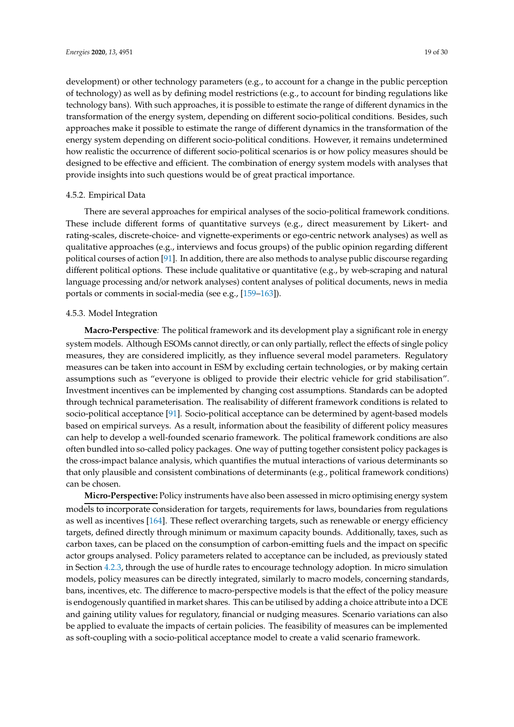development) or other technology parameters (e.g., to account for a change in the public perception of technology) as well as by defining model restrictions (e.g., to account for binding regulations like technology bans). With such approaches, it is possible to estimate the range of different dynamics in the transformation of the energy system, depending on different socio-political conditions. Besides, such approaches make it possible to estimate the range of different dynamics in the transformation of the energy system depending on different socio-political conditions. However, it remains undetermined how realistic the occurrence of different socio-political scenarios is or how policy measures should be designed to be effective and efficient. The combination of energy system models with analyses that provide insights into such questions would be of great practical importance.

#### <span id="page-18-0"></span>4.5.2. Empirical Data

There are several approaches for empirical analyses of the socio-political framework conditions. These include different forms of quantitative surveys (e.g., direct measurement by Likert- and rating-scales, discrete-choice- and vignette-experiments or ego-centric network analyses) as well as qualitative approaches (e.g., interviews and focus groups) of the public opinion regarding different political courses of action [\[91\]](#page-25-17). In addition, there are also methods to analyse public discourse regarding different political options. These include qualitative or quantitative (e.g., by web-scraping and natural language processing and/or network analyses) content analyses of political documents, news in media portals or comments in social-media (see e.g., [\[159–](#page-29-3)[163\]](#page-29-4)).

#### <span id="page-18-1"></span>4.5.3. Model Integration

**Macro-Perspective***:* The political framework and its development play a significant role in energy system models. Although ESOMs cannot directly, or can only partially, reflect the effects of single policy measures, they are considered implicitly, as they influence several model parameters. Regulatory measures can be taken into account in ESM by excluding certain technologies, or by making certain assumptions such as "everyone is obliged to provide their electric vehicle for grid stabilisation". Investment incentives can be implemented by changing cost assumptions. Standards can be adopted through technical parameterisation. The realisability of different framework conditions is related to socio-political acceptance [\[91\]](#page-25-17). Socio-political acceptance can be determined by agent-based models based on empirical surveys. As a result, information about the feasibility of different policy measures can help to develop a well-founded scenario framework. The political framework conditions are also often bundled into so-called policy packages. One way of putting together consistent policy packages is the cross-impact balance analysis, which quantifies the mutual interactions of various determinants so that only plausible and consistent combinations of determinants (e.g., political framework conditions) can be chosen.

**Micro-Perspective:** Policy instruments have also been assessed in micro optimising energy system models to incorporate consideration for targets, requirements for laws, boundaries from regulations as well as incentives [\[164\]](#page-29-5). These reflect overarching targets, such as renewable or energy efficiency targets, defined directly through minimum or maximum capacity bounds. Additionally, taxes, such as carbon taxes, can be placed on the consumption of carbon-emitting fuels and the impact on specific actor groups analysed. Policy parameters related to acceptance can be included, as previously stated in Section [4.2.3,](#page-12-1) through the use of hurdle rates to encourage technology adoption. In micro simulation models, policy measures can be directly integrated, similarly to macro models, concerning standards, bans, incentives, etc. The difference to macro-perspective models is that the effect of the policy measure is endogenously quantified in market shares. This can be utilised by adding a choice attribute into a DCE and gaining utility values for regulatory, financial or nudging measures. Scenario variations can also be applied to evaluate the impacts of certain policies. The feasibility of measures can be implemented as soft-coupling with a socio-political acceptance model to create a valid scenario framework.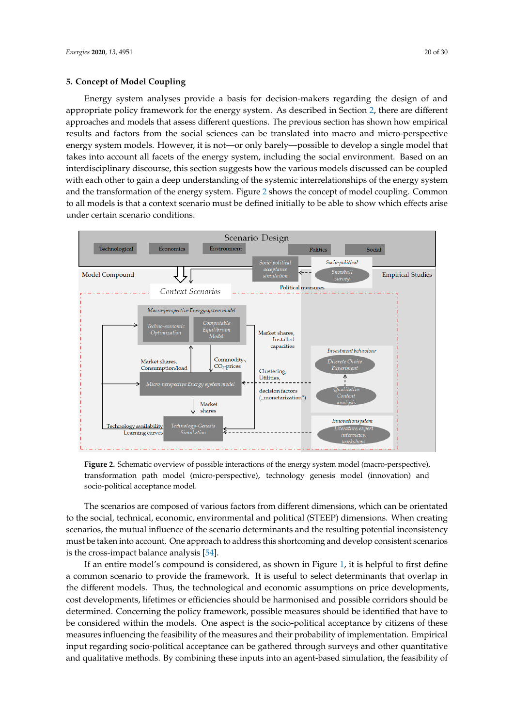#### <span id="page-19-0"></span>**5. Concept of Model Coupling**

Energy system analyses provide a basis for decision-makers regarding the design of and appropriate policy framework for the energy system. As described in Section [2,](#page-2-1) there are different approaches and models that assess different questions. The previous section has shown how empirical results and factors from the social sciences can be translated into macro and micro-perspective energy system models. However, it is not—or only barely—possible to develop a single model that takes into account all facets of the energy system, including the social environment. Based on an interdisciplinary discourse, this section suggests how the various models discussed can be coupled with each other to gain a deep understanding of the systemic interrelationships of the energy system and the transformation of the energy system. Figure 2 shows the concept of model coupling. Common to all models is that a context scenario must be defined initially to be able to show which effects arise under certain scenario conditions. and the tra[nsf](#page-19-1)ormation of the energy system. Figure 2 shows the concept of model coupling. Common<br>to all models is that a context scenario must be defined initially to be able to show which effects arise<br>under certain scen

<span id="page-19-1"></span>

**Figure 2.** Schematic overview of possible interactions of the energy system model **Figure 2.** Schematic overview of possible interactions of the energy system model (macro-perspective), transformation path model (micro-perspective), technology genesis model (innovation) and socio-political acceptance model.

The scenarios are composed of various factors from different dimensions, which can be The scenarios are composed of various factors from different dimensions, which can be orientated to the social, technical, economic, environmental and political (STEEP) dimensions. When creating scenarios, the mutual influence of the scenario determinants and the resulting potential inconsistency must be taken into account. One approach to address this shortcoming and develop consistent scenarios is the cross-impact balance analysis [\[54\]](#page-24-5).  $\,$ 

If an entire model's compound is considered, as shown in Figure [1,](#page-2-0) it is helpful to first define a common scenario to provide the framework. It is useful to select determinants that overlap in the different models. Thus, the technological and economic assumptions on price developments, developments, lifetimes or efficiencies should be harmonised and possible corridors should be cost developments, lifetimes or efficiencies should be harmonised and possible corridors should be determined. Concerning the policy framework, possible measures should be identified that have to determined. Concerning the policy framework, possible measures should be identified that have to be considered within the models. One aspect is the socio-political acceptance by citizens of these be considered within the models. One aspect is the socio-political acceptance by citizens of these measures influencing the feasibility of the measures and their probability of implementation. measures influencing the feasibility of the measures and their probability of implementation. Empirical input regarding socio-political acceptance can be gathered through surveys and other quantitative and qualitative methods. By combining these inputs into an agent-based simulation, the feasibility of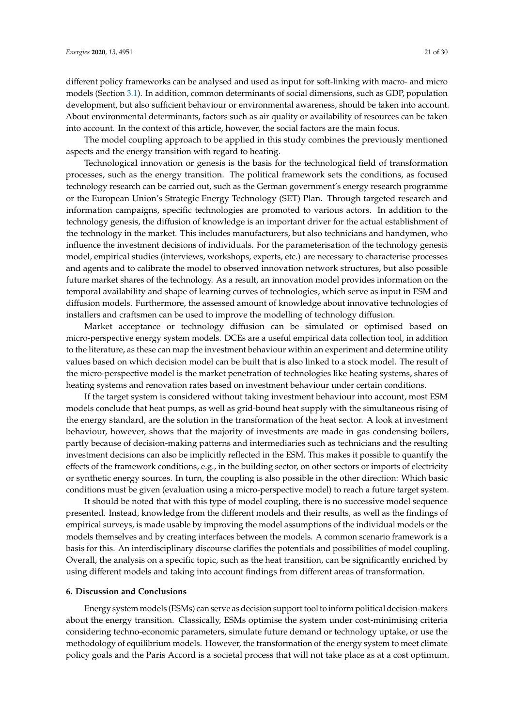different policy frameworks can be analysed and used as input for soft-linking with macro- and micro models (Section [3.1\)](#page-7-2). In addition, common determinants of social dimensions, such as GDP, population development, but also sufficient behaviour or environmental awareness, should be taken into account. About environmental determinants, factors such as air quality or availability of resources can be taken into account. In the context of this article, however, the social factors are the main focus.

The model coupling approach to be applied in this study combines the previously mentioned aspects and the energy transition with regard to heating.

Technological innovation or genesis is the basis for the technological field of transformation processes, such as the energy transition. The political framework sets the conditions, as focused technology research can be carried out, such as the German government's energy research programme or the European Union's Strategic Energy Technology (SET) Plan. Through targeted research and information campaigns, specific technologies are promoted to various actors. In addition to the technology genesis, the diffusion of knowledge is an important driver for the actual establishment of the technology in the market. This includes manufacturers, but also technicians and handymen, who influence the investment decisions of individuals. For the parameterisation of the technology genesis model, empirical studies (interviews, workshops, experts, etc.) are necessary to characterise processes and agents and to calibrate the model to observed innovation network structures, but also possible future market shares of the technology. As a result, an innovation model provides information on the temporal availability and shape of learning curves of technologies, which serve as input in ESM and diffusion models. Furthermore, the assessed amount of knowledge about innovative technologies of installers and craftsmen can be used to improve the modelling of technology diffusion.

Market acceptance or technology diffusion can be simulated or optimised based on micro-perspective energy system models. DCEs are a useful empirical data collection tool, in addition to the literature, as these can map the investment behaviour within an experiment and determine utility values based on which decision model can be built that is also linked to a stock model. The result of the micro-perspective model is the market penetration of technologies like heating systems, shares of heating systems and renovation rates based on investment behaviour under certain conditions.

If the target system is considered without taking investment behaviour into account, most ESM models conclude that heat pumps, as well as grid-bound heat supply with the simultaneous rising of the energy standard, are the solution in the transformation of the heat sector. A look at investment behaviour, however, shows that the majority of investments are made in gas condensing boilers, partly because of decision-making patterns and intermediaries such as technicians and the resulting investment decisions can also be implicitly reflected in the ESM. This makes it possible to quantify the effects of the framework conditions, e.g., in the building sector, on other sectors or imports of electricity or synthetic energy sources. In turn, the coupling is also possible in the other direction: Which basic conditions must be given (evaluation using a micro-perspective model) to reach a future target system.

It should be noted that with this type of model coupling, there is no successive model sequence presented. Instead, knowledge from the different models and their results, as well as the findings of empirical surveys, is made usable by improving the model assumptions of the individual models or the models themselves and by creating interfaces between the models. A common scenario framework is a basis for this. An interdisciplinary discourse clarifies the potentials and possibilities of model coupling. Overall, the analysis on a specific topic, such as the heat transition, can be significantly enriched by using different models and taking into account findings from different areas of transformation.

#### <span id="page-20-0"></span>**6. Discussion and Conclusions**

Energy system models (ESMs) can serve as decision support tool to inform political decision-makers about the energy transition. Classically, ESMs optimise the system under cost-minimising criteria considering techno-economic parameters, simulate future demand or technology uptake, or use the methodology of equilibrium models. However, the transformation of the energy system to meet climate policy goals and the Paris Accord is a societal process that will not take place as at a cost optimum.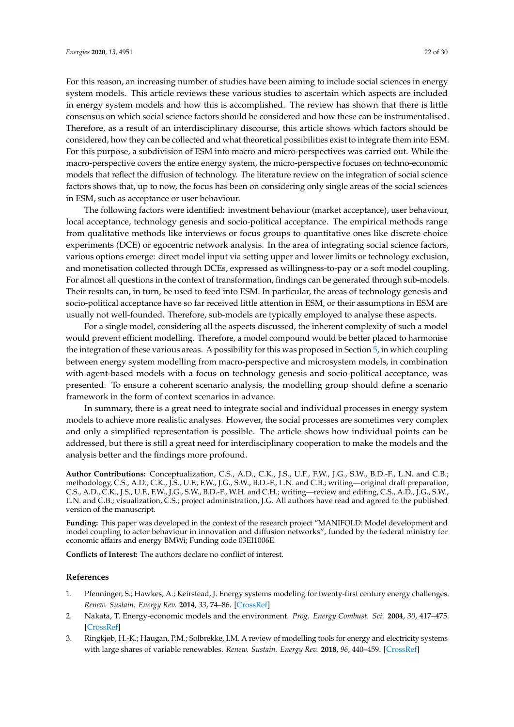For this reason, an increasing number of studies have been aiming to include social sciences in energy system models. This article reviews these various studies to ascertain which aspects are included in energy system models and how this is accomplished. The review has shown that there is little consensus on which social science factors should be considered and how these can be instrumentalised. Therefore, as a result of an interdisciplinary discourse, this article shows which factors should be considered, how they can be collected and what theoretical possibilities exist to integrate them into ESM. For this purpose, a subdivision of ESM into macro and micro-perspectives was carried out. While the macro-perspective covers the entire energy system, the micro-perspective focuses on techno-economic models that reflect the diffusion of technology. The literature review on the integration of social science factors shows that, up to now, the focus has been on considering only single areas of the social sciences in ESM, such as acceptance or user behaviour.

The following factors were identified: investment behaviour (market acceptance), user behaviour, local acceptance, technology genesis and socio-political acceptance. The empirical methods range from qualitative methods like interviews or focus groups to quantitative ones like discrete choice experiments (DCE) or egocentric network analysis. In the area of integrating social science factors, various options emerge: direct model input via setting upper and lower limits or technology exclusion, and monetisation collected through DCEs, expressed as willingness-to-pay or a soft model coupling. For almost all questions in the context of transformation, findings can be generated through sub-models. Their results can, in turn, be used to feed into ESM. In particular, the areas of technology genesis and socio-political acceptance have so far received little attention in ESM, or their assumptions in ESM are usually not well-founded. Therefore, sub-models are typically employed to analyse these aspects.

For a single model, considering all the aspects discussed, the inherent complexity of such a model would prevent efficient modelling. Therefore, a model compound would be better placed to harmonise the integration of these various areas. A possibility for this was proposed in Section [5,](#page-19-0) in which coupling between energy system modelling from macro-perspective and microsystem models, in combination with agent-based models with a focus on technology genesis and socio-political acceptance, was presented. To ensure a coherent scenario analysis, the modelling group should define a scenario framework in the form of context scenarios in advance.

In summary, there is a great need to integrate social and individual processes in energy system models to achieve more realistic analyses. However, the social processes are sometimes very complex and only a simplified representation is possible. The article shows how individual points can be addressed, but there is still a great need for interdisciplinary cooperation to make the models and the analysis better and the findings more profound.

**Author Contributions:** Conceptualization, C.S., A.D., C.K., J.S., U.F., F.W., J.G., S.W., B.D.-F., L.N. and C.B.; methodology, C.S., A.D., C.K., J.S., U.F., F.W., J.G., S.W., B.D.-F., L.N. and C.B.; writing—original draft preparation, C.S., A.D., C.K., J.S., U.F., F.W., J.G., S.W., B.D.-F., W.H. and C.H.; writing—review and editing, C.S., A.D., J.G., S.W., L.N. and C.B.; visualization, C.S.; project administration, J.G. All authors have read and agreed to the published version of the manuscript.

**Funding:** This paper was developed in the context of the research project "MANIFOLD: Model development and model coupling to actor behaviour in innovation and diffusion networks", funded by the federal ministry for economic affairs and energy BMWi; Funding code 03EI1006E.

**Conflicts of Interest:** The authors declare no conflict of interest.

#### **References**

- <span id="page-21-0"></span>1. Pfenninger, S.; Hawkes, A.; Keirstead, J. Energy systems modeling for twenty-first century energy challenges. *Renew. Sustain. Energy Rev.* **2014**, *33*, 74–86. [\[CrossRef\]](http://dx.doi.org/10.1016/j.rser.2014.02.003)
- <span id="page-21-1"></span>2. Nakata, T. Energy-economic models and the environment. *Prog. Energy Combust. Sci.* **2004**, *30*, 417–475. [\[CrossRef\]](http://dx.doi.org/10.1016/j.pecs.2004.03.001)
- <span id="page-21-2"></span>3. Ringkjøb, H.-K.; Haugan, P.M.; Solbrekke, I.M. A review of modelling tools for energy and electricity systems with large shares of variable renewables. *Renew. Sustain. Energy Rev.* **2018**, *96*, 440–459. [\[CrossRef\]](http://dx.doi.org/10.1016/j.rser.2018.08.002)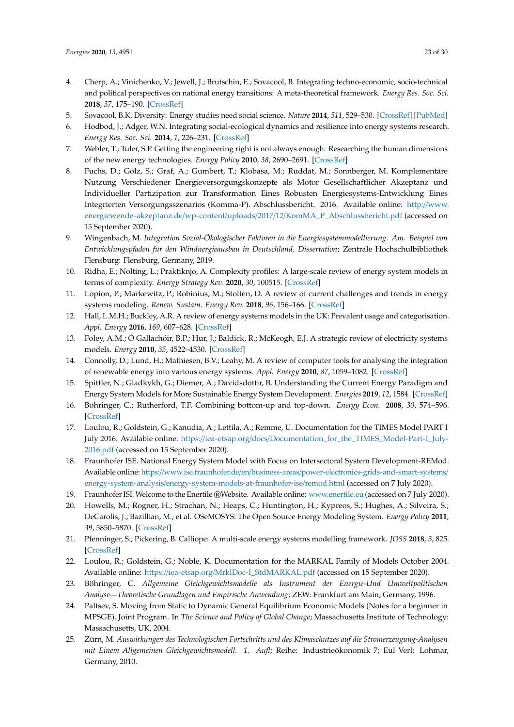- <span id="page-22-0"></span>4. Cherp, A.; Vinichenko, V.; Jewell, J.; Brutschin, E.; Sovacool, B. Integrating techno-economic, socio-technical and political perspectives on national energy transitions: A meta-theoretical framework. *Energy Res. Soc. Sci.* **2018**, *37*, 175–190. [\[CrossRef\]](http://dx.doi.org/10.1016/j.erss.2017.09.015)
- <span id="page-22-1"></span>5. Sovacool, B.K. Diversity: Energy studies need social science. *Nature* **2014**, *511*, 529–530. [\[CrossRef\]](http://dx.doi.org/10.1038/511529a) [\[PubMed\]](http://www.ncbi.nlm.nih.gov/pubmed/25079540)
- 6. Hodbod, J.; Adger, W.N. Integrating social-ecological dynamics and resilience into energy systems research. *Energy Res. Soc. Sci.* **2014**, *1*, 226–231. [\[CrossRef\]](http://dx.doi.org/10.1016/j.erss.2014.03.001)
- <span id="page-22-2"></span>7. Webler, T.; Tuler, S.P. Getting the engineering right is not always enough: Researching the human dimensions of the new energy technologies. *Energy Policy* **2010**, *38*, 2690–2691. [\[CrossRef\]](http://dx.doi.org/10.1016/j.enpol.2010.01.007)
- <span id="page-22-3"></span>8. Fuchs, D.; Gölz, S.; Graf, A.; Gumbert, T.; Klobasa, M.; Ruddat, M.; Sonnberger, M. Komplementäre Nutzung Verschiedener Energieversorgungskonzepte als Motor Gesellschaftlicher Akzeptanz und Individueller Partizipation zur Transformation Eines Robusten Energiesystems-Entwicklung Eines Integrierten Versorgungsszenarios (Komma-P). Abschlussbericht. 2016. Available online: http://[www.](http://www.energiewende-akzeptanz.de/wp-content/uploads/2017/12/KomMA_P_Abschlussbericht.pdf) energiewende-akzeptanz.de/wp-content/uploads/2017/12/[KomMA\\_P\\_Abschlussbericht.pdf](http://www.energiewende-akzeptanz.de/wp-content/uploads/2017/12/KomMA_P_Abschlussbericht.pdf) (accessed on 15 September 2020).
- <span id="page-22-4"></span>9. Wingenbach, M. *Integration Sozial-Ökologischer Faktoren in die Energiesystemmodellierung. Am. Beispiel von Entwicklungspfaden für den Windnergieausbau in Deutschland, Dissertation*; Zentrale Hochschulbibliothek Flensburg: Flensburg, Germany, 2019.
- <span id="page-22-5"></span>10. Ridha, E.; Nolting, L.; Praktiknjo, A. Complexity profiles: A large-scale review of energy system models in terms of complexity. *Energy Strategy Rev.* **2020**, *30*, 100515. [\[CrossRef\]](http://dx.doi.org/10.1016/j.esr.2020.100515)
- 11. Lopion, P.; Markewitz, P.; Robinius, M.; Stolten, D. A review of current challenges and trends in energy systems modeling. *Renew. Sustain. Energy Rev.* **2018**, *96*, 156–166. [\[CrossRef\]](http://dx.doi.org/10.1016/j.rser.2018.07.045)
- 12. Hall, L.M.H.; Buckley, A.R. A review of energy systems models in the UK: Prevalent usage and categorisation. *Appl. Energy* **2016**, *169*, 607–628. [\[CrossRef\]](http://dx.doi.org/10.1016/j.apenergy.2016.02.044)
- 13. Foley, A.M.; Ó Gallachóir, B.P.; Hur, J.; Baldick, R.; McKeogh, E.J. A strategic review of electricity systems models. *Energy* **2010**, *35*, 4522–4530. [\[CrossRef\]](http://dx.doi.org/10.1016/j.energy.2010.03.057)
- <span id="page-22-6"></span>14. Connolly, D.; Lund, H.; Mathiesen, B.V.; Leahy, M. A review of computer tools for analysing the integration of renewable energy into various energy systems. *Appl. Energy* **2010**, *87*, 1059–1082. [\[CrossRef\]](http://dx.doi.org/10.1016/j.apenergy.2009.09.026)
- <span id="page-22-7"></span>15. Spittler, N.; Gladkykh, G.; Diemer, A.; Davidsdottir, B. Understanding the Current Energy Paradigm and Energy System Models for More Sustainable Energy System Development. *Energies* **2019**, *12*, 1584. [\[CrossRef\]](http://dx.doi.org/10.3390/en12081584)
- <span id="page-22-8"></span>16. Böhringer, C.; Rutherford, T.F. Combining bottom-up and top-down. *Energy Econ.* **2008**, *30*, 574–596. [\[CrossRef\]](http://dx.doi.org/10.1016/j.eneco.2007.03.004)
- <span id="page-22-9"></span>17. Loulou, R.; Goldstein, G.; Kanudia, A.; Lettila, A.; Remme, U. Documentation for the TIMES Model PART I July 2016. Available online: https://iea-etsap.org/docs/[Documentation\\_for\\_the\\_TIMES\\_Model-Part-I\\_July-](https://iea-etsap.org/docs/Documentation_for_the_TIMES_Model-Part-I_July-2016.pdf)[2016.pdf](https://iea-etsap.org/docs/Documentation_for_the_TIMES_Model-Part-I_July-2016.pdf) (accessed on 15 September 2020).
- <span id="page-22-10"></span>18. Fraunhofer ISE. National Energy System Model with Focus on Intersectoral System Development-REMod. Available online: https://www.ise.fraunhofer.de/en/business-areas/[power-electronics-grids-and-smart-systems](https://www.ise.fraunhofer.de/en/business-areas/power-electronics-grids-and-smart-systems/energy-system-analysis/energy-system-models-at-fraunhofer-ise/remod.html)/ energy-system-analysis/[energy-system-models-at-fraunhofer-ise](https://www.ise.fraunhofer.de/en/business-areas/power-electronics-grids-and-smart-systems/energy-system-analysis/energy-system-models-at-fraunhofer-ise/remod.html)/remod.html (accessed on 7 July 2020).
- <span id="page-22-11"></span>19. Fraunhofer ISI. Welcome to the Enertile ®Website. Available online: <www.enertile.eu> (accessed on 7 July 2020).
- <span id="page-22-12"></span>20. Howells, M.; Rogner, H.; Strachan, N.; Heaps, C.; Huntington, H.; Kypreos, S.; Hughes, A.; Silveira, S.; DeCarolis, J.; Bazillian, M.; et al. OSeMOSYS: The Open Source Energy Modeling System. *Energy Policy* **2011**, *39*, 5850–5870. [\[CrossRef\]](http://dx.doi.org/10.1016/j.enpol.2011.06.033)
- <span id="page-22-13"></span>21. Pfenninger, S.; Pickering, B. Calliope: A multi-scale energy systems modelling framework. *JOSS* **2018**, *3*, 825. [\[CrossRef\]](http://dx.doi.org/10.21105/joss.00825)
- <span id="page-22-14"></span>22. Loulou, R.; Goldstein, G.; Noble, K. Documentation for the MARKAL Family of Models October 2004. Available online: https://iea-etsap.org/[MrklDoc-I\\_StdMARKAL.pdf](https://iea-etsap.org/MrklDoc-I_StdMARKAL.pdf) (accessed on 15 September 2020).
- <span id="page-22-15"></span>23. Böhringer, C. *Allgemeine Gleichgewichtsmodelle als Instrument der Energie-Und Umweltpolitischen Analyse—Theoretische Grundlagen und Empirische Anwendung*; ZEW: Frankfurt am Main, Germany, 1996.
- 24. Paltsev, S. Moving from Static to Dynamic General Equilibrium Economic Models (Notes for a beginner in MPSGE). Joint Program. In *The Science and Policy of Global Change*; Massachusetts Institute of Technology: Massachusetts, UK, 2004.
- <span id="page-22-16"></span>25. Zürn, M. *Auswirkungen des Technologischen Fortschritts und des Klimaschutzes auf die Stromerzeugung-Analysen mit Einem Allgemeinen Gleichgewichtsmodell. 1. Aufl*; Reihe: Industrieökonomik 7; Eul Verl: Lohmar, Germany, 2010.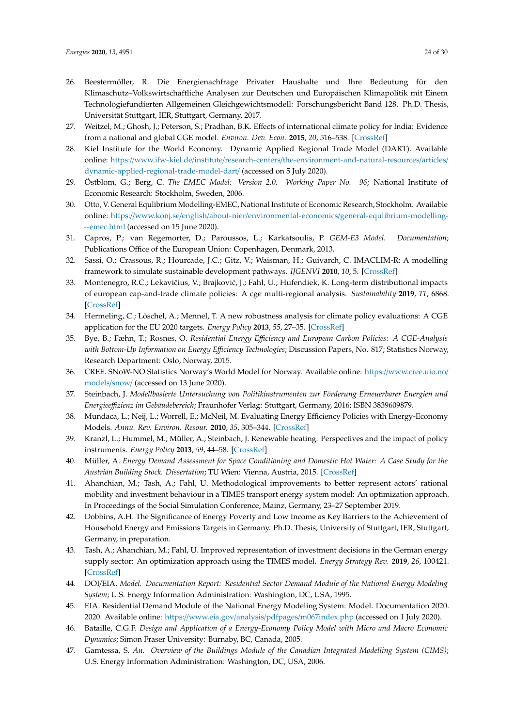- <span id="page-23-0"></span>26. Beestermöller, R. Die Energienachfrage Privater Haushalte und Ihre Bedeutung für den Klimaschutz–Volkswirtschaftliche Analysen zur Deutschen und Europäischen Klimapolitik mit Einem Technologiefundierten Allgemeinen Gleichgewichtsmodell: Forschungsbericht Band 128. Ph.D. Thesis, Universität Stuttgart, IER, Stuttgart, Germany, 2017.
- <span id="page-23-1"></span>27. Weitzel, M.; Ghosh, J.; Peterson, S.; Pradhan, B.K. Effects of international climate policy for India: Evidence from a national and global CGE model. *Environ. Dev. Econ.* **2015**, *20*, 516–538. [\[CrossRef\]](http://dx.doi.org/10.1017/S1355770X14000424)
- <span id="page-23-2"></span>28. Kiel Institute for the World Economy. Dynamic Applied Regional Trade Model (DART). Available online: https://www.ifw-kiel.de/institute/research-centers/[the-environment-and-natural-resources](https://www.ifw-kiel.de/institute/research-centers/the-environment-and-natural-resources/articles/dynamic-applied-regional-trade-model-dart/)/articles/ [dynamic-applied-regional-trade-model-dart](https://www.ifw-kiel.de/institute/research-centers/the-environment-and-natural-resources/articles/dynamic-applied-regional-trade-model-dart/)/ (accessed on 5 July 2020).
- <span id="page-23-3"></span>29. Östblom, G.; Berg, C. *The EMEC Model: Version 2.0. Working Paper No. 96*; National Institute of Economic Research: Stockholm, Sweden, 2006.
- <span id="page-23-4"></span>30. Otto, V. General Equlibrium Modelling-EMEC, National Institute of Economic Research, Stockholm. Available online: https://www.konj.se/english/about-nier/environmental-economics/[general-equlibrium-modelling-](https://www.konj.se/english/about-nier/environmental-economics/general-equlibrium-modelling---emec.html) [--emec.html](https://www.konj.se/english/about-nier/environmental-economics/general-equlibrium-modelling---emec.html) (accessed on 15 June 2020).
- <span id="page-23-5"></span>31. Capros, P.; van Regemorter, D.; Paroussos, L.; Karkatsoulis, P. *GEM-E3 Model. Documentation*; Publications Office of the European Union: Copenhagen, Denmark, 2013.
- <span id="page-23-6"></span>32. Sassi, O.; Crassous, R.; Hourcade, J.C.; Gitz, V.; Waisman, H.; Guivarch, C. IMACLIM-R: A modelling framework to simulate sustainable development pathways. *IJGENVI* **2010**, *10*, 5. [\[CrossRef\]](http://dx.doi.org/10.1504/IJGENVI.2010.030566)
- <span id="page-23-7"></span>33. Montenegro, R.C.; Lekavičius, V.; Brajković, J.; Fahl, U.; Hufendiek, K. Long-term distributional impacts of european cap-and-trade climate policies: A cge multi-regional analysis. *Sustainability* **2019**, *11*, 6868. [\[CrossRef\]](http://dx.doi.org/10.3390/su11236868)
- <span id="page-23-8"></span>34. Hermeling, C.; Löschel, A.; Mennel, T. A new robustness analysis for climate policy evaluations: A CGE application for the EU 2020 targets. *Energy Policy* **2013**, *55*, 27–35. [\[CrossRef\]](http://dx.doi.org/10.1016/j.enpol.2012.08.007)
- <span id="page-23-9"></span>35. Bye, B.; Fæhn, T.; Rosnes, O. *Residential Energy E*ffi*ciency and European Carbon Policies: A CGE-Analysis with Bottom-Up Information on Energy E*ffi*ciency Technologies*; Discussion Papers, No. 817; Statistics Norway, Research Department: Oslo, Norway, 2015.
- <span id="page-23-10"></span>36. CREE. SNoW-NO Statistics Norway's World Model for Norway. Available online: https://[www.cree.uio.no](https://www.cree.uio.no/models/snow/)/ [models](https://www.cree.uio.no/models/snow/)/snow/ (accessed on 13 June 2020).
- <span id="page-23-11"></span>37. Steinbach, J. *Modellbasierte Untersuchung von Politikinstrumenten zur Förderung Erneuerbarer Energien und Energiee*ffi*zienz im Gebäudebereich*; Fraunhofer Verlag: Stuttgart, Germany, 2016; ISBN 3839609879.
- <span id="page-23-12"></span>38. Mundaca, L.; Neij, L.; Worrell, E.; McNeil, M. Evaluating Energy Efficiency Policies with Energy-Economy Models. *Annu. Rev. Environ. Resour.* **2010**, *35*, 305–344. [\[CrossRef\]](http://dx.doi.org/10.1146/annurev-environ-052810-164840)
- <span id="page-23-13"></span>39. Kranzl, L.; Hummel, M.; Müller, A.; Steinbach, J. Renewable heating: Perspectives and the impact of policy instruments. *Energy Policy* **2013**, *59*, 44–58. [\[CrossRef\]](http://dx.doi.org/10.1016/j.enpol.2013.03.050)
- <span id="page-23-14"></span>40. Müller, A. *Energy Demand Assessment for Space Conditioning and Domestic Hot Water: A Case Study for the Austrian Building Stock. Dissertation*; TU Wien: Vienna, Austria, 2015. [\[CrossRef\]](http://dx.doi.org/10.13140/RG.2.1.1191.9529)
- <span id="page-23-15"></span>41. Ahanchian, M.; Tash, A.; Fahl, U. Methodological improvements to better represent actors' rational mobility and investment behaviour in a TIMES transport energy system model: An optimization approach. In Proceedings of the Social Simulation Conference, Mainz, Germany, 23–27 September 2019.
- <span id="page-23-17"></span>42. Dobbins, A.H. The Significance of Energy Poverty and Low Income as Key Barriers to the Achievement of Household Energy and Emissions Targets in Germany. Ph.D. Thesis, University of Stuttgart, IER, Stuttgart, Germany, in preparation.
- <span id="page-23-16"></span>43. Tash, A.; Ahanchian, M.; Fahl, U. Improved representation of investment decisions in the German energy supply sector: An optimization approach using the TIMES model. *Energy Strategy Rev.* **2019**, *26*, 100421. [\[CrossRef\]](http://dx.doi.org/10.1016/j.esr.2019.100421)
- <span id="page-23-18"></span>44. DOI/EIA. *Model. Documentation Report: Residential Sector Demand Module of the National Energy Modeling System*; U.S. Energy Information Administration: Washington, DC, USA, 1995.
- <span id="page-23-19"></span>45. EIA. Residential Demand Module of the National Energy Modeling System: Model. Documentation 2020. 2020. Available online: https://www.eia.gov/analysis/pdfpages/[m067index.php](https://www.eia.gov/analysis/pdfpages/m067index.php) (accessed on 1 July 2020).
- <span id="page-23-20"></span>46. Bataille, C.G.F. *Design and Application of a Energy-Economy Policy Model with Micro and Macro Economic Dynamics*; Simon Fraser University: Burnaby, BC, Canada, 2005.
- <span id="page-23-21"></span>47. Gamtessa, S. *An. Overview of the Buildings Module of the Canadian Integrated Modelling System (CIMS)*; U.S. Energy Information Administration: Washington, DC, USA, 2006.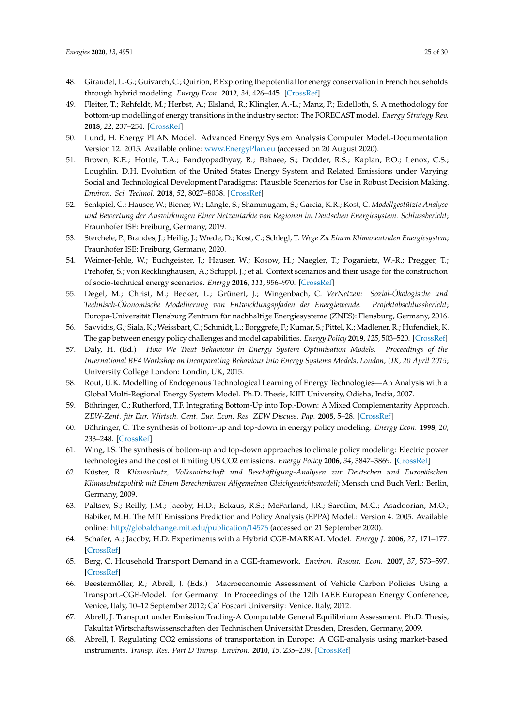- <span id="page-24-0"></span>48. Giraudet, L.-G.; Guivarch, C.; Quirion, P. Exploring the potential for energy conservation in French households through hybrid modeling. *Energy Econ.* **2012**, *34*, 426–445. [\[CrossRef\]](http://dx.doi.org/10.1016/j.eneco.2011.07.010)
- <span id="page-24-1"></span>49. Fleiter, T.; Rehfeldt, M.; Herbst, A.; Elsland, R.; Klingler, A.-L.; Manz, P.; Eidelloth, S. A methodology for bottom-up modelling of energy transitions in the industry sector: The FORECAST model. *Energy Strategy Rev.* **2018**, *22*, 237–254. [\[CrossRef\]](http://dx.doi.org/10.1016/j.esr.2018.09.005)
- <span id="page-24-2"></span>50. Lund, H. Energy PLAN Model. Advanced Energy System Analysis Computer Model.-Documentation Version 12. 2015. Available online: <www.EnergyPlan.eu> (accessed on 20 August 2020).
- <span id="page-24-3"></span>51. Brown, K.E.; Hottle, T.A.; Bandyopadhyay, R.; Babaee, S.; Dodder, R.S.; Kaplan, P.O.; Lenox, C.S.; Loughlin, D.H. Evolution of the United States Energy System and Related Emissions under Varying Social and Technological Development Paradigms: Plausible Scenarios for Use in Robust Decision Making. *Environ. Sci. Technol.* **2018**, *52*, 8027–8038. [\[CrossRef\]](http://dx.doi.org/10.1021/acs.est.8b00575)
- 52. Senkpiel, C.; Hauser, W.; Biener, W.; Längle, S.; Shammugam, S.; Garcia, K.R.; Kost, C. *Modellgestützte Analyse und Bewertung der Auswirkungen Einer Netzautarkie von Regionen im Deutschen Energiesystem. Schlussbericht*; Fraunhofer ISE: Freiburg, Germany, 2019.
- <span id="page-24-4"></span>53. Sterchele, P.; Brandes, J.; Heilig, J.; Wrede, D.; Kost, C.; Schlegl, T. *Wege Zu Einem Klimaneutralen Energiesystem*; Fraunhofer ISE: Freiburg, Germany, 2020.
- <span id="page-24-5"></span>54. Weimer-Jehle, W.; Buchgeister, J.; Hauser, W.; Kosow, H.; Naegler, T.; Poganietz, W.-R.; Pregger, T.; Prehofer, S.; von Recklinghausen, A.; Schippl, J.; et al. Context scenarios and their usage for the construction of socio-technical energy scenarios. *Energy* **2016**, *111*, 956–970. [\[CrossRef\]](http://dx.doi.org/10.1016/j.energy.2016.05.073)
- <span id="page-24-6"></span>55. Degel, M.; Christ, M.; Becker, L.; Grünert, J.; Wingenbach, C. *VerNetzen: Sozial-Ökologische und Technisch-Ökonomische Modellierung von Entwicklungspfaden der Energiewende. Projektabschlussbericht*; Europa-Universität Flensburg Zentrum für nachhaltige Energiesysteme (ZNES): Flensburg, Germany, 2016.
- <span id="page-24-7"></span>56. Savvidis, G.; Siala, K.; Weissbart, C.; Schmidt, L.; Borggrefe, F.; Kumar, S.; Pittel, K.; Madlener, R.; Hufendiek, K. The gap between energy policy challenges and model capabilities. *Energy Policy* **2019**, *125*, 503–520. [\[CrossRef\]](http://dx.doi.org/10.1016/j.enpol.2018.10.033)
- <span id="page-24-8"></span>57. Daly, H. (Ed.) *How We Treat Behaviour in Energy System Optimisation Models. Proceedings of the International BE4 Workshop on Incorporating Behaviour into Energy Systems Models, London, UK, 20 April 2015*; University College London: Londin, UK, 2015.
- <span id="page-24-9"></span>58. Rout, U.K. Modelling of Endogenous Technological Learning of Energy Technologies—An Analysis with a Global Multi-Regional Energy System Model. Ph.D. Thesis, KIIT University, Odisha, India, 2007.
- <span id="page-24-10"></span>59. Böhringer, C.; Rutherford, T.F. Integrating Bottom-Up into Top.-Down: A Mixed Complementarity Approach. *ZEW-Zent. für Eur. Wirtsch. Cent. Eur. Econ. Res. ZEW Discuss. Pap.* **2005**, 5–28. [\[CrossRef\]](http://dx.doi.org/10.2139/ssrn.770725)
- <span id="page-24-11"></span>60. Böhringer, C. The synthesis of bottom-up and top-down in energy policy modeling. *Energy Econ.* **1998**, *20*, 233–248. [\[CrossRef\]](http://dx.doi.org/10.1016/S0140-9883(97)00015-7)
- 61. Wing, I.S. The synthesis of bottom-up and top-down approaches to climate policy modeling: Electric power technologies and the cost of limiting US CO2 emissions. *Energy Policy* **2006**, *34*, 3847–3869. [\[CrossRef\]](http://dx.doi.org/10.1016/j.enpol.2005.08.027)
- <span id="page-24-12"></span>62. Küster, R. *Klimaschutz, Volkswirtschaft und Beschäftigung-Analysen zur Deutschen und Europäischen Klimaschutzpolitik mit Einem Berechenbaren Allgemeinen Gleichgewichtsmodell*; Mensch und Buch Verl.: Berlin, Germany, 2009.
- <span id="page-24-13"></span>63. Paltsev, S.; Reilly, J.M.; Jacoby, H.D.; Eckaus, R.S.; McFarland, J.R.; Sarofim, M.C.; Asadoorian, M.O.; Babiker, M.H. The MIT Emissions Prediction and Policy Analysis (EPPA) Model.: Version 4. 2005. Available online: http://[globalchange.mit.edu](http://globalchange.mit.edu/publication/14576)/publication/14576 (accessed on 21 September 2020).
- 64. Schäfer, A.; Jacoby, H.D. Experiments with a Hybrid CGE-MARKAL Model. *Energy J.* **2006**, *27*, 171–177. [\[CrossRef\]](http://dx.doi.org/10.5547/ISSN0195-6574-EJ-VolSI2006-NoSI2-9)
- 65. Berg, C. Household Transport Demand in a CGE-framework. *Environ. Resour. Econ.* **2007**, *37*, 573–597. [\[CrossRef\]](http://dx.doi.org/10.1007/s10640-006-9050-y)
- 66. Beestermöller, R.; Abrell, J. (Eds.) Macroeconomic Assessment of Vehicle Carbon Policies Using a Transport.-CGE-Model. for Germany. In Proceedings of the 12th IAEE European Energy Conference, Venice, Italy, 10–12 September 2012; Ca' Foscari University: Venice, Italy, 2012.
- 67. Abrell, J. Transport under Emission Trading-A Computable General Equilibrium Assessment. Ph.D. Thesis, Fakultät Wirtschaftswissenschaften der Technischen Universität Dresden, Dresden, Germany, 2009.
- 68. Abrell, J. Regulating CO2 emissions of transportation in Europe: A CGE-analysis using market-based instruments. *Transp. Res. Part D Transp. Environ.* **2010**, *15*, 235–239. [\[CrossRef\]](http://dx.doi.org/10.1016/j.trd.2010.02.002)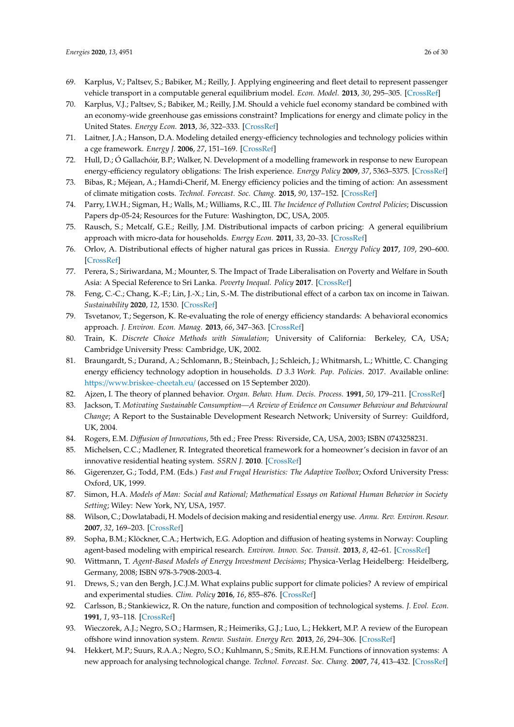- 69. Karplus, V.; Paltsev, S.; Babiker, M.; Reilly, J. Applying engineering and fleet detail to represent passenger vehicle transport in a computable general equilibrium model. *Econ. Model.* **2013**, *30*, 295–305. [\[CrossRef\]](http://dx.doi.org/10.1016/j.econmod.2012.08.019)
- <span id="page-25-0"></span>70. Karplus, V.J.; Paltsev, S.; Babiker, M.; Reilly, J.M. Should a vehicle fuel economy standard be combined with an economy-wide greenhouse gas emissions constraint? Implications for energy and climate policy in the United States. *Energy Econ.* **2013**, *36*, 322–333. [\[CrossRef\]](http://dx.doi.org/10.1016/j.eneco.2012.09.001)
- <span id="page-25-1"></span>71. Laitner, J.A.; Hanson, D.A. Modeling detailed energy-efficiency technologies and technology policies within a cge framework. *Energy J.* **2006**, *27*, 151–169. [\[CrossRef\]](http://dx.doi.org/10.5547/ISSN0195-6574-EJ-VolSI2006-NoSI2-8)
- <span id="page-25-2"></span>72. Hull, D.; Ó Gallachóir, B.P.; Walker, N. Development of a modelling framework in response to new European energy-efficiency regulatory obligations: The Irish experience. *Energy Policy* **2009**, *37*, 5363–5375. [\[CrossRef\]](http://dx.doi.org/10.1016/j.enpol.2009.07.059)
- <span id="page-25-3"></span>73. Bibas, R.; Méjean, A.; Hamdi-Cherif, M. Energy efficiency policies and the timing of action: An assessment of climate mitigation costs. *Technol. Forecast. Soc. Chang.* **2015**, *90*, 137–152. [\[CrossRef\]](http://dx.doi.org/10.1016/j.techfore.2014.05.003)
- <span id="page-25-6"></span>74. Parry, I.W.H.; Sigman, H.; Walls, M.; Williams, R.C., III. *The Incidence of Pollution Control Policies*; Discussion Papers dp-05-24; Resources for the Future: Washington, DC, USA, 2005.
- 75. Rausch, S.; Metcalf, G.E.; Reilly, J.M. Distributional impacts of carbon pricing: A general equilibrium approach with micro-data for households. *Energy Econ.* **2011**, *33*, 20–33. [\[CrossRef\]](http://dx.doi.org/10.1016/j.eneco.2011.07.023)
- 76. Orlov, A. Distributional effects of higher natural gas prices in Russia. *Energy Policy* **2017**, *109*, 290–600. [\[CrossRef\]](http://dx.doi.org/10.1016/j.enpol.2017.07.047)
- <span id="page-25-4"></span>77. Perera, S.; Siriwardana, M.; Mounter, S. The Impact of Trade Liberalisation on Poverty and Welfare in South Asia: A Special Reference to Sri Lanka. *Poverty Inequal. Policy* **2017**. [\[CrossRef\]](http://dx.doi.org/10.5772/intechopen.69506)
- <span id="page-25-5"></span>78. Feng, C.-C.; Chang, K.-F.; Lin, J.-X.; Lin, S.-M. The distributional effect of a carbon tax on income in Taiwan. *Sustainability* **2020**, *12*, 1530. [\[CrossRef\]](http://dx.doi.org/10.3390/su12041530)
- <span id="page-25-7"></span>79. Tsvetanov, T.; Segerson, K. Re-evaluating the role of energy efficiency standards: A behavioral economics approach. *J. Environ. Econ. Manag.* **2013**, *66*, 347–363. [\[CrossRef\]](http://dx.doi.org/10.1016/j.jeem.2013.04.006)
- <span id="page-25-8"></span>80. Train, K. *Discrete Choice Methods with Simulation*; University of California: Berkeley, CA, USA; Cambridge University Press: Cambridge, UK, 2002.
- <span id="page-25-9"></span>81. Braungardt, S.; Durand, A.; Schlomann, B.; Steinbach, J.; Schleich, J.; Whitmarsh, L.; Whittle, C. Changing energy efficiency technology adoption in households. *D 3.3 Work. Pap. Policies*. 2017. Available online: https://[www.briskee-cheetah.eu](https://www.briskee-cheetah.eu/)/ (accessed on 15 September 2020).
- <span id="page-25-10"></span>82. Ajzen, I. The theory of planned behavior. *Organ. Behav. Hum. Decis. Process.* **1991**, *50*, 179–211. [\[CrossRef\]](http://dx.doi.org/10.1016/0749-5978(91)90020-T)
- 83. Jackson, T. *Motivating Sustainable Consumption—A Review of Evidence on Consumer Behaviour and Behavioural Change*; A Report to the Sustainable Development Research Network; University of Surrey: Guildford, UK, 2004.
- <span id="page-25-11"></span>84. Rogers, E.M. *Di*ff*usion of Innovations*, 5th ed.; Free Press: Riverside, CA, USA, 2003; ISBN 0743258231.
- <span id="page-25-12"></span>85. Michelsen, C.C.; Madlener, R. Integrated theoretical framework for a homeowner's decision in favor of an innovative residential heating system. *SSRN J.* **2010**. [\[CrossRef\]](http://dx.doi.org/10.2139/ssrn.1620520)
- <span id="page-25-13"></span>86. Gigerenzer, G.; Todd, P.M. (Eds.) *Fast and Frugal Heuristics: The Adaptive Toolbox*; Oxford University Press: Oxford, UK, 1999.
- 87. Simon, H.A. *Models of Man: Social and Rational; Mathematical Essays on Rational Human Behavior in Society Setting*; Wiley: New York, NY, USA, 1957.
- <span id="page-25-14"></span>88. Wilson, C.; Dowlatabadi, H. Models of decision making and residential energy use. *Annu. Rev. Environ. Resour.* **2007**, *32*, 169–203. [\[CrossRef\]](http://dx.doi.org/10.1146/annurev.energy.32.053006.141137)
- <span id="page-25-15"></span>89. Sopha, B.M.; Klöckner, C.A.; Hertwich, E.G. Adoption and diffusion of heating systems in Norway: Coupling agent-based modeling with empirical research. *Environ. Innov. Soc. Transit.* **2013**, *8*, 42–61. [\[CrossRef\]](http://dx.doi.org/10.1016/j.eist.2013.06.001)
- <span id="page-25-16"></span>90. Wittmann, T. *Agent-Based Models of Energy Investment Decisions*; Physica-Verlag Heidelberg: Heidelberg, Germany, 2008; ISBN 978-3-7908-2003-4.
- <span id="page-25-17"></span>91. Drews, S.; van den Bergh, J.C.J.M. What explains public support for climate policies? A review of empirical and experimental studies. *Clim. Policy* **2016**, *16*, 855–876. [\[CrossRef\]](http://dx.doi.org/10.1080/14693062.2015.1058240)
- <span id="page-25-18"></span>92. Carlsson, B.; Stankiewicz, R. On the nature, function and composition of technological systems. *J. Evol. Econ.* **1991**, *1*, 93–118. [\[CrossRef\]](http://dx.doi.org/10.1007/BF01224915)
- 93. Wieczorek, A.J.; Negro, S.O.; Harmsen, R.; Heimeriks, G.J.; Luo, L.; Hekkert, M.P. A review of the European offshore wind innovation system. *Renew. Sustain. Energy Rev.* **2013**, *26*, 294–306. [\[CrossRef\]](http://dx.doi.org/10.1016/j.rser.2013.05.045)
- <span id="page-25-19"></span>94. Hekkert, M.P.; Suurs, R.A.A.; Negro, S.O.; Kuhlmann, S.; Smits, R.E.H.M. Functions of innovation systems: A new approach for analysing technological change. *Technol. Forecast. Soc. Chang.* **2007**, *74*, 413–432. [\[CrossRef\]](http://dx.doi.org/10.1016/j.techfore.2006.03.002)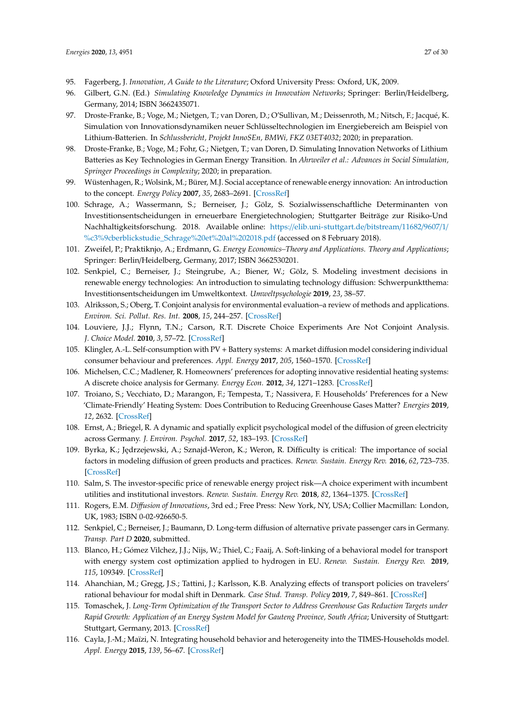- <span id="page-26-0"></span>95. Fagerberg, J. *Innovation, A Guide to the Literature*; Oxford University Press: Oxford, UK, 2009.
- <span id="page-26-1"></span>96. Gilbert, G.N. (Ed.) *Simulating Knowledge Dynamics in Innovation Networks*; Springer: Berlin/Heidelberg, Germany, 2014; ISBN 3662435071.
- <span id="page-26-2"></span>97. Droste-Franke, B.; Voge, M.; Nietgen, T.; van Doren, D.; O'Sullivan, M.; Deissenroth, M.; Nitsch, F.; Jacqué, K. Simulation von Innovationsdynamiken neuer Schlüsseltechnologien im Energiebereich am Beispiel von Lithium-Batterien. In *Schlussbericht, Projekt InnoSEn, BMWi, FKZ 03ET4032*; 2020; in preparation.
- <span id="page-26-3"></span>98. Droste-Franke, B.; Voge, M.; Fohr, G.; Nietgen, T.; van Doren, D. Simulating Innovation Networks of Lithium Batteries as Key Technologies in German Energy Transition. In *Ahrweiler et al.: Advances in Social Simulation, Springer Proceedings in Complexity*; 2020; in preparation.
- <span id="page-26-4"></span>99. Wüstenhagen, R.; Wolsink, M.; Bürer, M.J. Social acceptance of renewable energy innovation: An introduction to the concept. *Energy Policy* **2007**, *35*, 2683–2691. [\[CrossRef\]](http://dx.doi.org/10.1016/j.enpol.2006.12.001)
- <span id="page-26-5"></span>100. Schrage, A.; Wassermann, S.; Berneiser, J.; Gölz, S. Sozialwissenschaftliche Determinanten von Investitionsentscheidungen in erneuerbare Energietechnologien; Stuttgarter Beiträge zur Risiko-Und Nachhaltigkeitsforschung. 2018. Available online: https://[elib.uni-stuttgart.de](https://elib.uni-stuttgart.de/bitstream/11682/9607/1/%c3%9cberblickstudie_Schrage%20et%20al%202018.pdf)/bitstream/11682/9607/1/ [%c3%9cberblickstudie\\_Schrage%20et%20al%202018.pdf](https://elib.uni-stuttgart.de/bitstream/11682/9607/1/%c3%9cberblickstudie_Schrage%20et%20al%202018.pdf) (accessed on 8 February 2018).
- <span id="page-26-6"></span>101. Zweifel, P.; Praktiknjo, A.; Erdmann, G. *Energy Economics–Theory and Applications. Theory and Applications*; Springer: Berlin/Heidelberg, Germany, 2017; ISBN 3662530201.
- <span id="page-26-7"></span>102. Senkpiel, C.; Berneiser, J.; Steingrube, A.; Biener, W.; Gölz, S. Modeling investment decisions in renewable energy technologies: An introduction to simulating technology diffusion: Schwerpunktthema: Investitionsentscheidungen im Umweltkontext. *Umweltpsychologie* **2019**, *23*, 38–57.
- <span id="page-26-8"></span>103. Alriksson, S.; Oberg, T. Conjoint analysis for environmental evaluation–a review of methods and applications. *Environ. Sci. Pollut. Res. Int.* **2008**, *15*, 244–257. [\[CrossRef\]](http://dx.doi.org/10.1065/espr2008.02.479)
- <span id="page-26-9"></span>104. Louviere, J.J.; Flynn, T.N.; Carson, R.T. Discrete Choice Experiments Are Not Conjoint Analysis. *J. Choice Model.* **2010**, *3*, 57–72. [\[CrossRef\]](http://dx.doi.org/10.1016/S1755-5345(13)70014-9)
- <span id="page-26-10"></span>105. Klingler, A.-L. Self-consumption with PV + Battery systems: A market diffusion model considering individual consumer behaviour and preferences. *Appl. Energy* **2017**, *205*, 1560–1570. [\[CrossRef\]](http://dx.doi.org/10.1016/j.apenergy.2017.08.159)
- <span id="page-26-11"></span>106. Michelsen, C.C.; Madlener, R. Homeowners' preferences for adopting innovative residential heating systems: A discrete choice analysis for Germany. *Energy Econ.* **2012**, *34*, 1271–1283. [\[CrossRef\]](http://dx.doi.org/10.1016/j.eneco.2012.06.009)
- <span id="page-26-12"></span>107. Troiano, S.; Vecchiato, D.; Marangon, F.; Tempesta, T.; Nassivera, F. Households' Preferences for a New 'Climate-Friendly' Heating System: Does Contribution to Reducing Greenhouse Gases Matter? *Energies* **2019**, *12*, 2632. [\[CrossRef\]](http://dx.doi.org/10.3390/en12132632)
- <span id="page-26-13"></span>108. Ernst, A.; Briegel, R. A dynamic and spatially explicit psychological model of the diffusion of green electricity across Germany. *J. Environ. Psychol.* **2017**, *52*, 183–193. [\[CrossRef\]](http://dx.doi.org/10.1016/j.jenvp.2016.12.003)
- <span id="page-26-14"></span>109. Byrka, K.; Jędrzejewski, A.; Sznajd-Weron, K.; Weron, R. Difficulty is critical: The importance of social factors in modeling diffusion of green products and practices. *Renew. Sustain. Energy Rev.* **2016**, *62*, 723–735. [\[CrossRef\]](http://dx.doi.org/10.1016/j.rser.2016.04.063)
- <span id="page-26-15"></span>110. Salm, S. The investor-specific price of renewable energy project risk—A choice experiment with incumbent utilities and institutional investors. *Renew. Sustain. Energy Rev.* **2018**, *82*, 1364–1375. [\[CrossRef\]](http://dx.doi.org/10.1016/j.rser.2017.04.009)
- <span id="page-26-16"></span>111. Rogers, E.M. *Di*ff*usion of Innovations*, 3rd ed.; Free Press: New York, NY, USA; Collier Macmillan: London, UK, 1983; ISBN 0-02-926650-5.
- <span id="page-26-17"></span>112. Senkpiel, C.; Berneiser, J.; Baumann, D. Long-term diffusion of alternative private passenger cars in Germany. *Transp. Part D* **2020**, submitted.
- <span id="page-26-18"></span>113. Blanco, H.; Gómez Vilchez, J.J.; Nijs, W.; Thiel, C.; Faaij, A. Soft-linking of a behavioral model for transport with energy system cost optimization applied to hydrogen in EU. *Renew. Sustain. Energy Rev.* **2019**, *115*, 109349. [\[CrossRef\]](http://dx.doi.org/10.1016/j.rser.2019.109349)
- <span id="page-26-19"></span>114. Ahanchian, M.; Gregg, J.S.; Tattini, J.; Karlsson, K.B. Analyzing effects of transport policies on travelers' rational behaviour for modal shift in Denmark. *Case Stud. Transp. Policy* **2019**, *7*, 849–861. [\[CrossRef\]](http://dx.doi.org/10.1016/j.cstp.2019.07.010)
- <span id="page-26-20"></span>115. Tomaschek, J. *Long-Term Optimization of the Transport Sector to Address Greenhouse Gas Reduction Targets under Rapid Growth: Application of an Energy System Model for Gauteng Province, South Africa*; University of Stuttgart: Stuttgart, Germany, 2013. [\[CrossRef\]](http://dx.doi.org/10.18419/opus-2313)
- <span id="page-26-21"></span>116. Cayla, J.-M.; Maïzi, N. Integrating household behavior and heterogeneity into the TIMES-Households model. *Appl. Energy* **2015**, *139*, 56–67. [\[CrossRef\]](http://dx.doi.org/10.1016/j.apenergy.2014.11.015)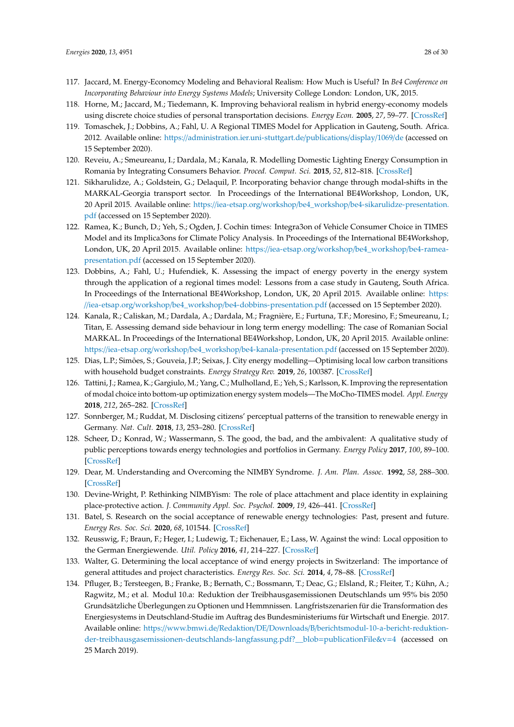- <span id="page-27-0"></span>117. Jaccard, M. Energy-Economcy Modeling and Behavioral Realism: How Much is Useful? In *Be4 Conference on Incorporating Behaviour into Energy Systems Models*; University College London: London, UK, 2015.
- <span id="page-27-1"></span>118. Horne, M.; Jaccard, M.; Tiedemann, K. Improving behavioral realism in hybrid energy-economy models using discrete choice studies of personal transportation decisions. *Energy Econ.* **2005**, *27*, 59–77. [\[CrossRef\]](http://dx.doi.org/10.1016/j.eneco.2004.11.003)
- <span id="page-27-2"></span>119. Tomaschek, J.; Dobbins, A.; Fahl, U. A Regional TIMES Model for Application in Gauteng, South. Africa. 2012. Available online: https://[administration.ier.uni-stuttgart.de](https://administration.ier.uni-stuttgart.de/publications/display/1069/de)/publications/display/1069/de (accessed on 15 September 2020).
- <span id="page-27-3"></span>120. Reveiu, A.; Smeureanu, I.; Dardala, M.; Kanala, R. Modelling Domestic Lighting Energy Consumption in Romania by Integrating Consumers Behavior. *Proced. Comput. Sci.* **2015**, *52*, 812–818. [\[CrossRef\]](http://dx.doi.org/10.1016/j.procs.2015.05.137)
- <span id="page-27-4"></span>121. Sikharulidze, A.; Goldstein, G.; Delaquil, P. Incorporating behavior change through modal-shifts in the MARKAL-Georgia transport sector. In Proceedings of the International BE4Workshop, London, UK, 20 April 2015. Available online: https://iea-etsap.org/workshop/be4\_workshop/[be4-sikarulidze-presentation.](https://iea-etsap.org/workshop/be4_workshop/be4-sikarulidze-presentation.pdf) [pdf](https://iea-etsap.org/workshop/be4_workshop/be4-sikarulidze-presentation.pdf) (accessed on 15 September 2020).
- <span id="page-27-5"></span>122. Ramea, K.; Bunch, D.; Yeh, S.; Ogden, J. Cochin times: Integra3on of Vehicle Consumer Choice in TIMES Model and its Implica3ons for Climate Policy Analysis. In Proceedings of the International BE4Workshop, London, UK, 20 April 2015. Available online: https://iea-etsap.org/workshop/[be4\\_workshop](https://iea-etsap.org/workshop/be4_workshop/be4-ramea-presentation.pdf)/be4-ramea[presentation.pdf](https://iea-etsap.org/workshop/be4_workshop/be4-ramea-presentation.pdf) (accessed on 15 September 2020).
- <span id="page-27-17"></span>123. Dobbins, A.; Fahl, U.; Hufendiek, K. Assessing the impact of energy poverty in the energy system through the application of a regional times model: Lessons from a case study in Gauteng, South Africa. In Proceedings of the International BE4Workshop, London, UK, 20 April 2015. Available online: [https:](https://iea-etsap.org/workshop/be4_workshop/be4-dobbins-presentation.pdf) //iea-etsap.org/workshop/be4\_workshop/[be4-dobbins-presentation.pdf](https://iea-etsap.org/workshop/be4_workshop/be4-dobbins-presentation.pdf) (accessed on 15 September 2020).
- <span id="page-27-6"></span>124. Kanala, R.; Caliskan, M.; Dardala, A.; Dardala, M.; Fragnière, E.; Furtuna, T.F.; Moresino, F.; Smeureanu, I.; Titan, E. Assessing demand side behaviour in long term energy modelling: The case of Romanian Social MARKAL. In Proceedings of the International BE4Workshop, London, UK, 20 April 2015. Available online: https://iea-etsap.org/workshop/be4\_workshop/[be4-kanala-presentation.pdf](https://iea-etsap.org/workshop/be4_workshop/be4-kanala-presentation.pdf) (accessed on 15 September 2020).
- <span id="page-27-7"></span>125. Dias, L.P.; Simões, S.; Gouveia, J.P.; Seixas, J. City energy modelling—Optimising local low carbon transitions with household budget constraints. *Energy Strategy Rev.* **2019**, *26*, 100387. [\[CrossRef\]](http://dx.doi.org/10.1016/j.esr.2019.100387)
- <span id="page-27-8"></span>126. Tattini, J.; Ramea, K.; Gargiulo, M.; Yang, C.; Mulholland, E.; Yeh, S.; Karlsson, K. Improving the representation of modal choice into bottom-up optimization energy system models—The MoCho-TIMES model. *Appl. Energy* **2018**, *212*, 265–282. [\[CrossRef\]](http://dx.doi.org/10.1016/j.apenergy.2017.12.050)
- <span id="page-27-9"></span>127. Sonnberger, M.; Ruddat, M. Disclosing citizens' perceptual patterns of the transition to renewable energy in Germany. *Nat. Cult.* **2018**, *13*, 253–280. [\[CrossRef\]](http://dx.doi.org/10.3167/nc.2018.130204)
- <span id="page-27-10"></span>128. Scheer, D.; Konrad, W.; Wassermann, S. The good, the bad, and the ambivalent: A qualitative study of public perceptions towards energy technologies and portfolios in Germany. *Energy Policy* **2017**, *100*, 89–100. [\[CrossRef\]](http://dx.doi.org/10.1016/j.enpol.2016.09.061)
- <span id="page-27-11"></span>129. Dear, M. Understanding and Overcoming the NIMBY Syndrome. *J. Am. Plan. Assoc.* **1992**, *58*, 288–300. [\[CrossRef\]](http://dx.doi.org/10.1080/01944369208975808)
- <span id="page-27-12"></span>130. Devine-Wright, P. Rethinking NIMBYism: The role of place attachment and place identity in explaining place-protective action. *J. Community Appl. Soc. Psychol.* **2009**, *19*, 426–441. [\[CrossRef\]](http://dx.doi.org/10.1002/casp.1004)
- <span id="page-27-13"></span>131. Batel, S. Research on the social acceptance of renewable energy technologies: Past, present and future. *Energy Res. Soc. Sci.* **2020**, *68*, 101544. [\[CrossRef\]](http://dx.doi.org/10.1016/j.erss.2020.101544)
- <span id="page-27-14"></span>132. Reusswig, F.; Braun, F.; Heger, I.; Ludewig, T.; Eichenauer, E.; Lass, W. Against the wind: Local opposition to the German Energiewende. *Util. Policy* **2016**, *41*, 214–227. [\[CrossRef\]](http://dx.doi.org/10.1016/j.jup.2016.02.006)
- <span id="page-27-15"></span>133. Walter, G. Determining the local acceptance of wind energy projects in Switzerland: The importance of general attitudes and project characteristics. *Energy Res. Soc. Sci.* **2014**, *4*, 78–88. [\[CrossRef\]](http://dx.doi.org/10.1016/j.erss.2014.09.003)
- <span id="page-27-16"></span>134. Pfluger, B.; Tersteegen, B.; Franke, B.; Bernath, C.; Bossmann, T.; Deac, G.; Elsland, R.; Fleiter, T.; Kühn, A.; Ragwitz, M.; et al. Modul 10.a: Reduktion der Treibhausgasemissionen Deutschlands um 95% bis 2050 Grundsätzliche Überlegungen zu Optionen und Hemmnissen. Langfristszenarien für die Transformation des Energiesystems in Deutschland-Studie im Auftrag des Bundesministeriums für Wirtschaft und Energie. 2017. Available online: https://www.bmwi.de/Redaktion/DE/Downloads/B/[berichtsmodul-10-a-bericht-reduktion](https://www.bmwi.de/Redaktion/DE/Downloads/B/berichtsmodul-10-a-bericht-reduktion-der-treibhausgasemissionen-deutschlands-langfassung.pdf?__blob=publicationFile&v=4)[der-treibhausgasemissionen-deutschlands-langfassung.pdf?\\_\\_blob](https://www.bmwi.de/Redaktion/DE/Downloads/B/berichtsmodul-10-a-bericht-reduktion-der-treibhausgasemissionen-deutschlands-langfassung.pdf?__blob=publicationFile&v=4)=publicationFile&v=4 (accessed on 25 March 2019).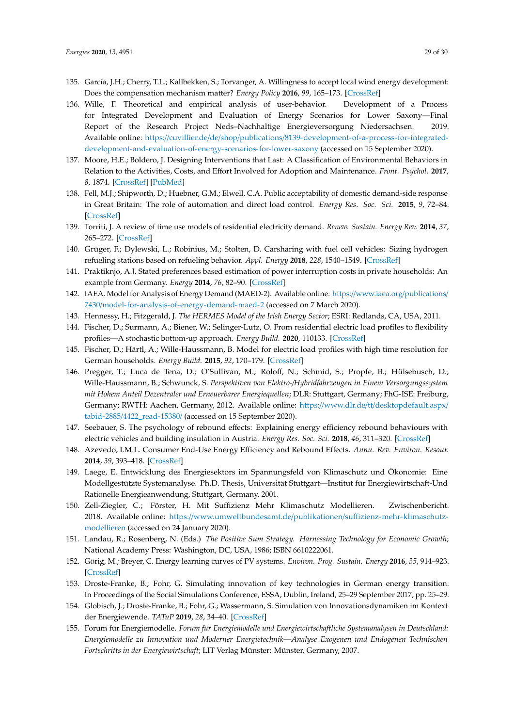- <span id="page-28-0"></span>135. García, J.H.; Cherry, T.L.; Kallbekken, S.; Torvanger, A. Willingness to accept local wind energy development: Does the compensation mechanism matter? *Energy Policy* **2016**, *99*, 165–173. [\[CrossRef\]](http://dx.doi.org/10.1016/j.enpol.2016.09.046)
- <span id="page-28-1"></span>136. Wille, F. Theoretical and empirical analysis of user-behavior. Development of a Process for Integrated Development and Evaluation of Energy Scenarios for Lower Saxony—Final Report of the Research Project Neds–Nachhaltige Energieversorgung Niedersachsen. 2019. Available online: https://cuvillier.de/de/shop/publications/[8139-development-of-a-process-for-integrated](https://cuvillier.de/de/shop/publications/8139-development-of-a-process-for-integrated-development-and-evaluation-of-energy-scenarios-for-lower-saxony)[development-and-evaluation-of-energy-scenarios-for-lower-saxony](https://cuvillier.de/de/shop/publications/8139-development-of-a-process-for-integrated-development-and-evaluation-of-energy-scenarios-for-lower-saxony) (accessed on 15 September 2020).
- <span id="page-28-2"></span>137. Moore, H.E.; Boldero, J. Designing Interventions that Last: A Classification of Environmental Behaviors in Relation to the Activities, Costs, and Effort Involved for Adoption and Maintenance. *Front. Psychol.* **2017**, *8*, 1874. [\[CrossRef\]](http://dx.doi.org/10.3389/fpsyg.2017.01874) [\[PubMed\]](http://www.ncbi.nlm.nih.gov/pubmed/29163265)
- <span id="page-28-3"></span>138. Fell, M.J.; Shipworth, D.; Huebner, G.M.; Elwell, C.A. Public acceptability of domestic demand-side response in Great Britain: The role of automation and direct load control. *Energy Res. Soc. Sci.* **2015**, *9*, 72–84. [\[CrossRef\]](http://dx.doi.org/10.1016/j.erss.2015.08.023)
- <span id="page-28-4"></span>139. Torriti, J. A review of time use models of residential electricity demand. *Renew. Sustain. Energy Rev.* **2014**, *37*, 265–272. [\[CrossRef\]](http://dx.doi.org/10.1016/j.rser.2014.05.034)
- <span id="page-28-5"></span>140. Grüger, F.; Dylewski, L.; Robinius, M.; Stolten, D. Carsharing with fuel cell vehicles: Sizing hydrogen refueling stations based on refueling behavior. *Appl. Energy* **2018**, *228*, 1540–1549. [\[CrossRef\]](http://dx.doi.org/10.1016/j.apenergy.2018.07.014)
- <span id="page-28-6"></span>141. Praktiknjo, A.J. Stated preferences based estimation of power interruption costs in private households: An example from Germany. *Energy* **2014**, *76*, 82–90. [\[CrossRef\]](http://dx.doi.org/10.1016/j.energy.2014.03.089)
- <span id="page-28-7"></span>142. IAEA. Model for Analysis of Energy Demand (MAED-2). Available online: https://[www.iaea.org](https://www.iaea.org/publications/7430/model-for-analysis-of-energy-demand-maed-2)/publications/ 7430/[model-for-analysis-of-energy-demand-maed-2](https://www.iaea.org/publications/7430/model-for-analysis-of-energy-demand-maed-2) (accessed on 7 March 2020).
- <span id="page-28-8"></span>143. Hennessy, H.; Fitzgerald, J. *The HERMES Model of the Irish Energy Sector*; ESRI: Redlands, CA, USA, 2011.
- <span id="page-28-9"></span>144. Fischer, D.; Surmann, A.; Biener, W.; Selinger-Lutz, O. From residential electric load profiles to flexibility profiles—A stochastic bottom-up approach. *Energy Build.* **2020**, 110133. [\[CrossRef\]](http://dx.doi.org/10.1016/j.enbuild.2020.110133)
- <span id="page-28-10"></span>145. Fischer, D.; Härtl, A.; Wille-Haussmann, B. Model for electric load profiles with high time resolution for German households. *Energy Build.* **2015**, *92*, 170–179. [\[CrossRef\]](http://dx.doi.org/10.1016/j.enbuild.2015.01.058)
- <span id="page-28-11"></span>146. Pregger, T.; Luca de Tena, D.; O'Sullivan, M.; Roloff, N.; Schmid, S.; Propfe, B.; Hülsebusch, D.; Wille-Haussmann, B.; Schwunck, S. *Perspektiven von Elektro-*/*Hybridfahrzeugen in Einem Versorgungssystem mit Hohem Anteil Dezentraler und Erneuerbarer Energiequellen*; DLR: Stuttgart, Germany; FhG-ISE: Freiburg, Germany; RWTH: Aachen, Germany, 2012. Available online: https://www.dlr.de/tt/[desktopdefault.aspx](https://www.dlr.de/tt/desktopdefault.aspx/tabid-2885/4422_read-15380/)/ tabid-2885/[4422\\_read-15380](https://www.dlr.de/tt/desktopdefault.aspx/tabid-2885/4422_read-15380/)/ (accessed on 15 September 2020).
- <span id="page-28-12"></span>147. Seebauer, S. The psychology of rebound effects: Explaining energy efficiency rebound behaviours with electric vehicles and building insulation in Austria. *Energy Res. Soc. Sci.* **2018**, *46*, 311–320. [\[CrossRef\]](http://dx.doi.org/10.1016/j.erss.2018.08.006)
- <span id="page-28-13"></span>148. Azevedo, I.M.L. Consumer End-Use Energy Efficiency and Rebound Effects. *Annu. Rev. Environ. Resour.* **2014**, *39*, 393–418. [\[CrossRef\]](http://dx.doi.org/10.1146/annurev-environ-021913-153558)
- <span id="page-28-14"></span>149. Laege, E. Entwicklung des Energiesektors im Spannungsfeld von Klimaschutz und Ökonomie: Eine Modellgestützte Systemanalyse. Ph.D. Thesis, Universität Stuttgart—Institut für Energiewirtschaft-Und Rationelle Energieanwendung, Stuttgart, Germany, 2001.
- <span id="page-28-15"></span>150. Zell-Ziegler, C.; Förster, H. Mit Suffizienz Mehr Klimaschutz Modellieren. Zwischenbericht. 2018. Available online: https://[www.umweltbundesamt.de](https://www.umweltbundesamt.de/publikationen/suffizienz-mehr-klimaschutz-modellieren)/publikationen/suffizienz-mehr-klimaschutz[modellieren](https://www.umweltbundesamt.de/publikationen/suffizienz-mehr-klimaschutz-modellieren) (accessed on 24 January 2020).
- <span id="page-28-16"></span>151. Landau, R.; Rosenberg, N. (Eds.) *The Positive Sum Strategy. Harnessing Technology for Economic Growth*; National Academy Press: Washington, DC, USA, 1986; ISBN 6610222061.
- <span id="page-28-17"></span>152. Görig, M.; Breyer, C. Energy learning curves of PV systems. *Environ. Prog. Sustain. Energy* **2016**, *35*, 914–923. [\[CrossRef\]](http://dx.doi.org/10.1002/ep.12340)
- <span id="page-28-18"></span>153. Droste-Franke, B.; Fohr, G. Simulating innovation of key technologies in German energy transition. In Proceedings of the Social Simulations Conference, ESSA, Dublin, Ireland, 25–29 September 2017; pp. 25–29.
- <span id="page-28-19"></span>154. Globisch, J.; Droste-Franke, B.; Fohr, G.; Wassermann, S. Simulation von Innovationsdynamiken im Kontext der Energiewende. *TATuP* **2019**, *28*, 34–40. [\[CrossRef\]](http://dx.doi.org/10.14512/tatup.28.3.34)
- <span id="page-28-20"></span>155. Forum für Energiemodelle. *Forum für Energiemodelle und Energiewirtschaftliche Systemanalysen in Deutschland: Energiemodelle zu Innovation und Moderner Energietechnik—Analyse Exogenen und Endogenen Technischen Fortschritts in der Energiewirtschaft*; LIT Verlag Münster: Münster, Germany, 2007.